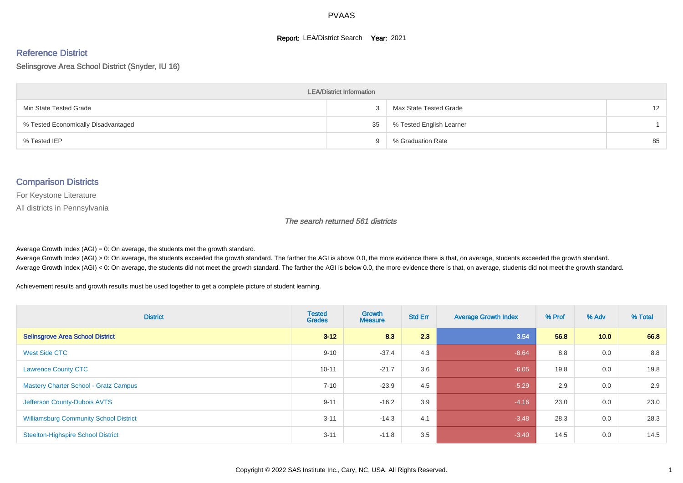#### **Report: LEA/District Search Year: 2021**

# Reference District

#### Selinsgrove Area School District (Snyder, IU 16)

| <b>LEA/District Information</b>     |    |                          |                   |  |  |  |  |  |  |  |
|-------------------------------------|----|--------------------------|-------------------|--|--|--|--|--|--|--|
| Min State Tested Grade              |    | Max State Tested Grade   | $12 \overline{ }$ |  |  |  |  |  |  |  |
| % Tested Economically Disadvantaged | 35 | % Tested English Learner |                   |  |  |  |  |  |  |  |
| % Tested IEP                        | a  | % Graduation Rate        | 85                |  |  |  |  |  |  |  |

#### Comparison Districts

For Keystone Literature

All districts in Pennsylvania

The search returned 561 districts

Average Growth Index  $(AGI) = 0$ : On average, the students met the growth standard.

Average Growth Index (AGI) > 0: On average, the students exceeded the growth standard. The farther the AGI is above 0.0, the more evidence there is that, on average, students exceeded the growth standard. Average Growth Index (AGI) < 0: On average, the students did not meet the growth standard. The farther the AGI is below 0.0, the more evidence there is that, on average, students did not meet the growth standard.

Achievement results and growth results must be used together to get a complete picture of student learning.

| <b>District</b>                               | <b>Tested</b><br><b>Grades</b> | <b>Growth</b><br><b>Measure</b> | <b>Std Err</b> | <b>Average Growth Index</b> | % Prof | % Adv | % Total |
|-----------------------------------------------|--------------------------------|---------------------------------|----------------|-----------------------------|--------|-------|---------|
| <b>Selinsgrove Area School District</b>       | $3 - 12$                       | 8.3                             | 2.3            | 3.54                        | 56.8   | 10.0  | 66.8    |
| West Side CTC                                 | $9 - 10$                       | $-37.4$                         | 4.3            | $-8.64$                     | 8.8    | 0.0   | 8.8     |
| <b>Lawrence County CTC</b>                    | $10 - 11$                      | $-21.7$                         | 3.6            | $-6.05$                     | 19.8   | 0.0   | 19.8    |
| <b>Mastery Charter School - Gratz Campus</b>  | $7 - 10$                       | $-23.9$                         | 4.5            | $-5.29$                     | 2.9    | 0.0   | 2.9     |
| Jefferson County-Dubois AVTS                  | $9 - 11$                       | $-16.2$                         | 3.9            | $-4.16$                     | 23.0   | 0.0   | 23.0    |
| <b>Williamsburg Community School District</b> | $3 - 11$                       | $-14.3$                         | 4.1            | $-3.48$                     | 28.3   | 0.0   | 28.3    |
| <b>Steelton-Highspire School District</b>     | $3 - 11$                       | $-11.8$                         | 3.5            | $-3.40$                     | 14.5   | 0.0   | 14.5    |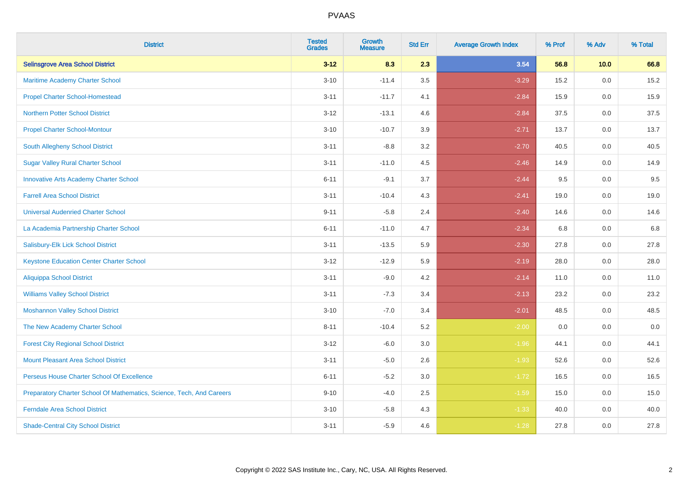| <b>District</b>                                                       | <b>Tested</b><br><b>Grades</b> | <b>Growth</b><br><b>Measure</b> | <b>Std Err</b> | <b>Average Growth Index</b> | % Prof | % Adv   | % Total |
|-----------------------------------------------------------------------|--------------------------------|---------------------------------|----------------|-----------------------------|--------|---------|---------|
| <b>Selinsgrove Area School District</b>                               | $3 - 12$                       | 8.3                             | 2.3            | 3.54                        | 56.8   | 10.0    | 66.8    |
| Maritime Academy Charter School                                       | $3 - 10$                       | $-11.4$                         | 3.5            | $-3.29$                     | 15.2   | 0.0     | 15.2    |
| <b>Propel Charter School-Homestead</b>                                | $3 - 11$                       | $-11.7$                         | 4.1            | $-2.84$                     | 15.9   | 0.0     | 15.9    |
| <b>Northern Potter School District</b>                                | $3 - 12$                       | $-13.1$                         | 4.6            | $-2.84$                     | 37.5   | 0.0     | 37.5    |
| <b>Propel Charter School-Montour</b>                                  | $3 - 10$                       | $-10.7$                         | 3.9            | $-2.71$                     | 13.7   | 0.0     | 13.7    |
| South Allegheny School District                                       | $3 - 11$                       | $-8.8$                          | 3.2            | $-2.70$                     | 40.5   | 0.0     | 40.5    |
| <b>Sugar Valley Rural Charter School</b>                              | $3 - 11$                       | $-11.0$                         | 4.5            | $-2.46$                     | 14.9   | 0.0     | 14.9    |
| <b>Innovative Arts Academy Charter School</b>                         | $6 - 11$                       | $-9.1$                          | 3.7            | $-2.44$                     | 9.5    | 0.0     | 9.5     |
| <b>Farrell Area School District</b>                                   | $3 - 11$                       | $-10.4$                         | 4.3            | $-2.41$                     | 19.0   | 0.0     | 19.0    |
| <b>Universal Audenried Charter School</b>                             | $9 - 11$                       | $-5.8$                          | 2.4            | $-2.40$                     | 14.6   | 0.0     | 14.6    |
| La Academia Partnership Charter School                                | $6 - 11$                       | $-11.0$                         | 4.7            | $-2.34$                     | 6.8    | 0.0     | 6.8     |
| Salisbury-Elk Lick School District                                    | $3 - 11$                       | $-13.5$                         | 5.9            | $-2.30$                     | 27.8   | 0.0     | 27.8    |
| <b>Keystone Education Center Charter School</b>                       | $3 - 12$                       | $-12.9$                         | 5.9            | $-2.19$                     | 28.0   | 0.0     | 28.0    |
| <b>Aliquippa School District</b>                                      | $3 - 11$                       | $-9.0$                          | 4.2            | $-2.14$                     | 11.0   | 0.0     | 11.0    |
| <b>Williams Valley School District</b>                                | $3 - 11$                       | $-7.3$                          | 3.4            | $-2.13$                     | 23.2   | 0.0     | 23.2    |
| <b>Moshannon Valley School District</b>                               | $3 - 10$                       | $-7.0$                          | 3.4            | $-2.01$                     | 48.5   | $0.0\,$ | 48.5    |
| The New Academy Charter School                                        | $8 - 11$                       | $-10.4$                         | 5.2            | $-2.00$                     | 0.0    | 0.0     | 0.0     |
| <b>Forest City Regional School District</b>                           | $3 - 12$                       | $-6.0$                          | 3.0            | $-1.96$                     | 44.1   | 0.0     | 44.1    |
| <b>Mount Pleasant Area School District</b>                            | $3 - 11$                       | $-5.0$                          | 2.6            | $-1.93$                     | 52.6   | 0.0     | 52.6    |
| Perseus House Charter School Of Excellence                            | $6 - 11$                       | $-5.2$                          | 3.0            | $-1.72$                     | 16.5   | 0.0     | 16.5    |
| Preparatory Charter School Of Mathematics, Science, Tech, And Careers | $9 - 10$                       | $-4.0$                          | 2.5            | $-1.59$                     | 15.0   | 0.0     | 15.0    |
| <b>Ferndale Area School District</b>                                  | $3 - 10$                       | $-5.8$                          | 4.3            | $-1.33$                     | 40.0   | 0.0     | 40.0    |
| <b>Shade-Central City School District</b>                             | $3 - 11$                       | $-5.9$                          | 4.6            | $-1.28$                     | 27.8   | 0.0     | 27.8    |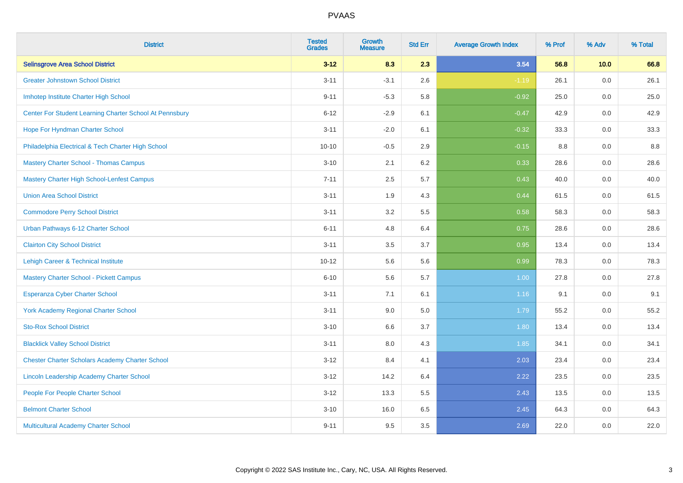| <b>District</b>                                         | <b>Tested</b><br><b>Grades</b> | <b>Growth</b><br><b>Measure</b> | <b>Std Err</b> | <b>Average Growth Index</b> | % Prof | % Adv   | % Total |
|---------------------------------------------------------|--------------------------------|---------------------------------|----------------|-----------------------------|--------|---------|---------|
| <b>Selinsgrove Area School District</b>                 | $3 - 12$                       | 8.3                             | 2.3            | 3.54                        | 56.8   | 10.0    | 66.8    |
| <b>Greater Johnstown School District</b>                | $3 - 11$                       | $-3.1$                          | 2.6            | $-1.19$                     | 26.1   | 0.0     | 26.1    |
| Imhotep Institute Charter High School                   | $9 - 11$                       | $-5.3$                          | 5.8            | $-0.92$                     | 25.0   | 0.0     | 25.0    |
| Center For Student Learning Charter School At Pennsbury | $6 - 12$                       | $-2.9$                          | 6.1            | $-0.47$                     | 42.9   | 0.0     | 42.9    |
| Hope For Hyndman Charter School                         | $3 - 11$                       | $-2.0$                          | 6.1            | $-0.32$                     | 33.3   | 0.0     | 33.3    |
| Philadelphia Electrical & Tech Charter High School      | $10 - 10$                      | $-0.5$                          | 2.9            | $-0.15$                     | 8.8    | 0.0     | 8.8     |
| <b>Mastery Charter School - Thomas Campus</b>           | $3 - 10$                       | 2.1                             | 6.2            | 0.33                        | 28.6   | 0.0     | 28.6    |
| <b>Mastery Charter High School-Lenfest Campus</b>       | $7 - 11$                       | 2.5                             | 5.7            | 0.43                        | 40.0   | 0.0     | 40.0    |
| <b>Union Area School District</b>                       | $3 - 11$                       | 1.9                             | 4.3            | 0.44                        | 61.5   | 0.0     | 61.5    |
| <b>Commodore Perry School District</b>                  | $3 - 11$                       | 3.2                             | 5.5            | 0.58                        | 58.3   | 0.0     | 58.3    |
| Urban Pathways 6-12 Charter School                      | $6 - 11$                       | 4.8                             | 6.4            | 0.75                        | 28.6   | 0.0     | 28.6    |
| <b>Clairton City School District</b>                    | $3 - 11$                       | 3.5                             | 3.7            | 0.95                        | 13.4   | 0.0     | 13.4    |
| Lehigh Career & Technical Institute                     | $10 - 12$                      | 5.6                             | 5.6            | 0.99                        | 78.3   | 0.0     | 78.3    |
| <b>Mastery Charter School - Pickett Campus</b>          | $6 - 10$                       | 5.6                             | 5.7            | 1.00                        | 27.8   | 0.0     | 27.8    |
| <b>Esperanza Cyber Charter School</b>                   | $3 - 11$                       | 7.1                             | 6.1            | 1.16                        | 9.1    | 0.0     | 9.1     |
| <b>York Academy Regional Charter School</b>             | $3 - 11$                       | 9.0                             | 5.0            | 1.79                        | 55.2   | $0.0\,$ | 55.2    |
| <b>Sto-Rox School District</b>                          | $3 - 10$                       | 6.6                             | 3.7            | 1.80                        | 13.4   | 0.0     | 13.4    |
| <b>Blacklick Valley School District</b>                 | $3 - 11$                       | 8.0                             | 4.3            | 1.85                        | 34.1   | 0.0     | 34.1    |
| <b>Chester Charter Scholars Academy Charter School</b>  | $3 - 12$                       | 8.4                             | 4.1            | 2.03                        | 23.4   | 0.0     | 23.4    |
| Lincoln Leadership Academy Charter School               | $3 - 12$                       | 14.2                            | 6.4            | 2.22                        | 23.5   | 0.0     | 23.5    |
| People For People Charter School                        | $3 - 12$                       | 13.3                            | 5.5            | 2.43                        | 13.5   | 0.0     | 13.5    |
| <b>Belmont Charter School</b>                           | $3 - 10$                       | 16.0                            | 6.5            | 2.45                        | 64.3   | 0.0     | 64.3    |
| Multicultural Academy Charter School                    | $9 - 11$                       | 9.5                             | 3.5            | 2.69                        | 22.0   | 0.0     | 22.0    |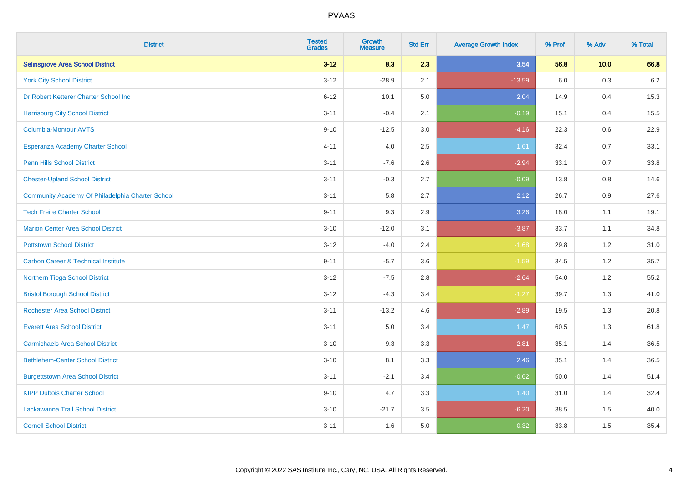| <b>District</b>                                  | <b>Tested</b><br><b>Grades</b> | <b>Growth</b><br><b>Measure</b> | <b>Std Err</b> | <b>Average Growth Index</b> | % Prof | % Adv | % Total |
|--------------------------------------------------|--------------------------------|---------------------------------|----------------|-----------------------------|--------|-------|---------|
| <b>Selinsgrove Area School District</b>          | $3 - 12$                       | 8.3                             | 2.3            | 3.54                        | 56.8   | 10.0  | 66.8    |
| <b>York City School District</b>                 | $3 - 12$                       | $-28.9$                         | 2.1            | $-13.59$                    | 6.0    | 0.3   | $6.2\,$ |
| Dr Robert Ketterer Charter School Inc            | $6 - 12$                       | 10.1                            | 5.0            | 2.04                        | 14.9   | 0.4   | 15.3    |
| <b>Harrisburg City School District</b>           | $3 - 11$                       | $-0.4$                          | 2.1            | $-0.19$                     | 15.1   | 0.4   | 15.5    |
| <b>Columbia-Montour AVTS</b>                     | $9 - 10$                       | $-12.5$                         | 3.0            | $-4.16$                     | 22.3   | 0.6   | 22.9    |
| Esperanza Academy Charter School                 | $4 - 11$                       | 4.0                             | 2.5            | 1.61                        | 32.4   | 0.7   | 33.1    |
| <b>Penn Hills School District</b>                | $3 - 11$                       | $-7.6$                          | 2.6            | $-2.94$                     | 33.1   | 0.7   | 33.8    |
| <b>Chester-Upland School District</b>            | $3 - 11$                       | $-0.3$                          | 2.7            | $-0.09$                     | 13.8   | 0.8   | 14.6    |
| Community Academy Of Philadelphia Charter School | $3 - 11$                       | 5.8                             | 2.7            | 2.12                        | 26.7   | 0.9   | 27.6    |
| <b>Tech Freire Charter School</b>                | $9 - 11$                       | 9.3                             | 2.9            | 3.26                        | 18.0   | 1.1   | 19.1    |
| <b>Marion Center Area School District</b>        | $3 - 10$                       | $-12.0$                         | 3.1            | $-3.87$                     | 33.7   | 1.1   | 34.8    |
| <b>Pottstown School District</b>                 | $3 - 12$                       | $-4.0$                          | 2.4            | $-1.68$                     | 29.8   | 1.2   | 31.0    |
| <b>Carbon Career &amp; Technical Institute</b>   | $9 - 11$                       | $-5.7$                          | 3.6            | $-1.59$                     | 34.5   | 1.2   | 35.7    |
| Northern Tioga School District                   | $3 - 12$                       | $-7.5$                          | 2.8            | $-2.64$                     | 54.0   | 1.2   | 55.2    |
| <b>Bristol Borough School District</b>           | $3 - 12$                       | $-4.3$                          | 3.4            | $-1.27$                     | 39.7   | 1.3   | 41.0    |
| <b>Rochester Area School District</b>            | $3 - 11$                       | $-13.2$                         | 4.6            | $-2.89$                     | 19.5   | 1.3   | 20.8    |
| <b>Everett Area School District</b>              | $3 - 11$                       | 5.0                             | 3.4            | 1.47                        | 60.5   | 1.3   | 61.8    |
| <b>Carmichaels Area School District</b>          | $3 - 10$                       | $-9.3$                          | 3.3            | $-2.81$                     | 35.1   | 1.4   | 36.5    |
| <b>Bethlehem-Center School District</b>          | $3 - 10$                       | 8.1                             | 3.3            | 2.46                        | 35.1   | 1.4   | 36.5    |
| <b>Burgettstown Area School District</b>         | $3 - 11$                       | $-2.1$                          | 3.4            | $-0.62$                     | 50.0   | 1.4   | 51.4    |
| <b>KIPP Dubois Charter School</b>                | $9 - 10$                       | 4.7                             | 3.3            | 1.40                        | 31.0   | 1.4   | 32.4    |
| Lackawanna Trail School District                 | $3 - 10$                       | $-21.7$                         | 3.5            | $-6.20$                     | 38.5   | 1.5   | 40.0    |
| <b>Cornell School District</b>                   | $3 - 11$                       | $-1.6$                          | 5.0            | $-0.32$                     | 33.8   | 1.5   | 35.4    |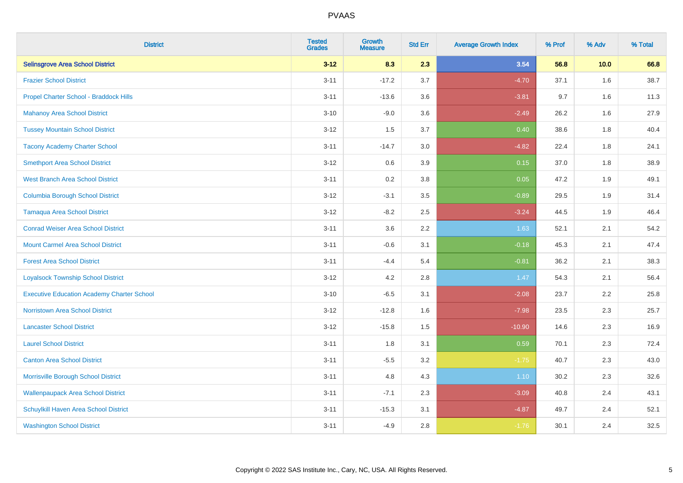| <b>District</b>                                   | <b>Tested</b><br><b>Grades</b> | <b>Growth</b><br><b>Measure</b> | <b>Std Err</b> | <b>Average Growth Index</b> | % Prof | % Adv | % Total |
|---------------------------------------------------|--------------------------------|---------------------------------|----------------|-----------------------------|--------|-------|---------|
| <b>Selinsgrove Area School District</b>           | $3 - 12$                       | 8.3                             | 2.3            | 3.54                        | 56.8   | 10.0  | 66.8    |
| <b>Frazier School District</b>                    | $3 - 11$                       | $-17.2$                         | 3.7            | $-4.70$                     | 37.1   | 1.6   | 38.7    |
| Propel Charter School - Braddock Hills            | $3 - 11$                       | $-13.6$                         | 3.6            | $-3.81$                     | 9.7    | 1.6   | 11.3    |
| <b>Mahanoy Area School District</b>               | $3 - 10$                       | $-9.0$                          | 3.6            | $-2.49$                     | 26.2   | 1.6   | 27.9    |
| <b>Tussey Mountain School District</b>            | $3 - 12$                       | 1.5                             | 3.7            | 0.40                        | 38.6   | 1.8   | 40.4    |
| <b>Tacony Academy Charter School</b>              | $3 - 11$                       | $-14.7$                         | 3.0            | $-4.82$                     | 22.4   | 1.8   | 24.1    |
| <b>Smethport Area School District</b>             | $3 - 12$                       | 0.6                             | 3.9            | 0.15                        | 37.0   | 1.8   | 38.9    |
| <b>West Branch Area School District</b>           | $3 - 11$                       | 0.2                             | 3.8            | 0.05                        | 47.2   | 1.9   | 49.1    |
| <b>Columbia Borough School District</b>           | $3 - 12$                       | $-3.1$                          | 3.5            | $-0.89$                     | 29.5   | 1.9   | 31.4    |
| <b>Tamaqua Area School District</b>               | $3 - 12$                       | $-8.2$                          | 2.5            | $-3.24$                     | 44.5   | 1.9   | 46.4    |
| <b>Conrad Weiser Area School District</b>         | $3 - 11$                       | 3.6                             | 2.2            | 1.63                        | 52.1   | 2.1   | 54.2    |
| <b>Mount Carmel Area School District</b>          | $3 - 11$                       | $-0.6$                          | 3.1            | $-0.18$                     | 45.3   | 2.1   | 47.4    |
| <b>Forest Area School District</b>                | $3 - 11$                       | $-4.4$                          | 5.4            | $-0.81$                     | 36.2   | 2.1   | 38.3    |
| <b>Loyalsock Township School District</b>         | $3 - 12$                       | 4.2                             | 2.8            | 1.47                        | 54.3   | 2.1   | 56.4    |
| <b>Executive Education Academy Charter School</b> | $3 - 10$                       | $-6.5$                          | 3.1            | $-2.08$                     | 23.7   | 2.2   | 25.8    |
| <b>Norristown Area School District</b>            | $3 - 12$                       | $-12.8$                         | 1.6            | $-7.98$                     | 23.5   | 2.3   | 25.7    |
| <b>Lancaster School District</b>                  | $3 - 12$                       | $-15.8$                         | 1.5            | $-10.90$                    | 14.6   | 2.3   | 16.9    |
| <b>Laurel School District</b>                     | $3 - 11$                       | 1.8                             | 3.1            | 0.59                        | 70.1   | 2.3   | 72.4    |
| <b>Canton Area School District</b>                | $3 - 11$                       | $-5.5$                          | 3.2            | $-1.75$                     | 40.7   | 2.3   | 43.0    |
| Morrisville Borough School District               | $3 - 11$                       | 4.8                             | 4.3            | 1.10                        | 30.2   | 2.3   | 32.6    |
| <b>Wallenpaupack Area School District</b>         | $3 - 11$                       | $-7.1$                          | 2.3            | $-3.09$                     | 40.8   | 2.4   | 43.1    |
| Schuylkill Haven Area School District             | $3 - 11$                       | $-15.3$                         | 3.1            | $-4.87$                     | 49.7   | 2.4   | 52.1    |
| <b>Washington School District</b>                 | $3 - 11$                       | $-4.9$                          | 2.8            | $-1.76$                     | 30.1   | 2.4   | 32.5    |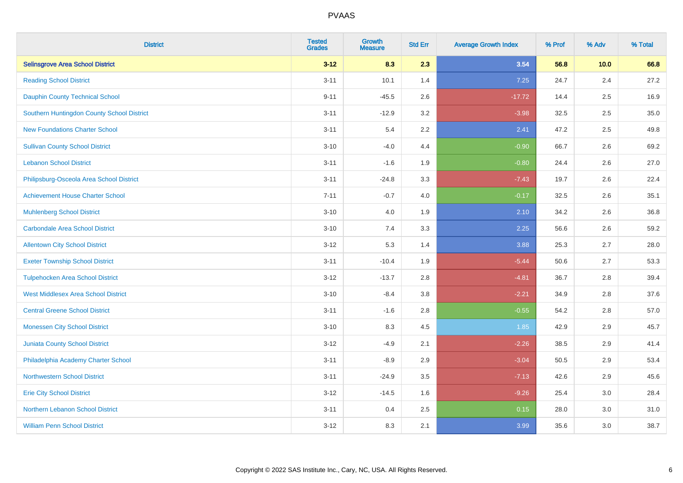| <b>District</b>                            | <b>Tested</b><br><b>Grades</b> | <b>Growth</b><br><b>Measure</b> | <b>Std Err</b> | <b>Average Growth Index</b> | % Prof | % Adv   | % Total |
|--------------------------------------------|--------------------------------|---------------------------------|----------------|-----------------------------|--------|---------|---------|
| <b>Selinsgrove Area School District</b>    | $3 - 12$                       | 8.3                             | 2.3            | 3.54                        | 56.8   | 10.0    | 66.8    |
| <b>Reading School District</b>             | $3 - 11$                       | 10.1                            | 1.4            | 7.25                        | 24.7   | $2.4\,$ | 27.2    |
| <b>Dauphin County Technical School</b>     | $9 - 11$                       | $-45.5$                         | 2.6            | $-17.72$                    | 14.4   | 2.5     | 16.9    |
| Southern Huntingdon County School District | $3 - 11$                       | $-12.9$                         | 3.2            | $-3.98$                     | 32.5   | 2.5     | 35.0    |
| <b>New Foundations Charter School</b>      | $3 - 11$                       | 5.4                             | 2.2            | 2.41                        | 47.2   | 2.5     | 49.8    |
| <b>Sullivan County School District</b>     | $3 - 10$                       | $-4.0$                          | 4.4            | $-0.90$                     | 66.7   | 2.6     | 69.2    |
| <b>Lebanon School District</b>             | $3 - 11$                       | $-1.6$                          | 1.9            | $-0.80$                     | 24.4   | 2.6     | 27.0    |
| Philipsburg-Osceola Area School District   | $3 - 11$                       | $-24.8$                         | 3.3            | $-7.43$                     | 19.7   | 2.6     | 22.4    |
| <b>Achievement House Charter School</b>    | $7 - 11$                       | $-0.7$                          | 4.0            | $-0.17$                     | 32.5   | 2.6     | 35.1    |
| <b>Muhlenberg School District</b>          | $3 - 10$                       | 4.0                             | 1.9            | 2.10                        | 34.2   | 2.6     | 36.8    |
| <b>Carbondale Area School District</b>     | $3 - 10$                       | 7.4                             | 3.3            | 2.25                        | 56.6   | 2.6     | 59.2    |
| <b>Allentown City School District</b>      | $3 - 12$                       | 5.3                             | 1.4            | 3.88                        | 25.3   | 2.7     | 28.0    |
| <b>Exeter Township School District</b>     | $3 - 11$                       | $-10.4$                         | 1.9            | $-5.44$                     | 50.6   | 2.7     | 53.3    |
| <b>Tulpehocken Area School District</b>    | $3 - 12$                       | $-13.7$                         | 2.8            | $-4.81$                     | 36.7   | 2.8     | 39.4    |
| <b>West Middlesex Area School District</b> | $3 - 10$                       | $-8.4$                          | 3.8            | $-2.21$                     | 34.9   | 2.8     | 37.6    |
| <b>Central Greene School District</b>      | $3 - 11$                       | $-1.6$                          | 2.8            | $-0.55$                     | 54.2   | 2.8     | 57.0    |
| <b>Monessen City School District</b>       | $3 - 10$                       | 8.3                             | 4.5            | 1.85                        | 42.9   | 2.9     | 45.7    |
| Juniata County School District             | $3 - 12$                       | $-4.9$                          | 2.1            | $-2.26$                     | 38.5   | 2.9     | 41.4    |
| Philadelphia Academy Charter School        | $3 - 11$                       | $-8.9$                          | 2.9            | $-3.04$                     | 50.5   | 2.9     | 53.4    |
| <b>Northwestern School District</b>        | $3 - 11$                       | $-24.9$                         | 3.5            | $-7.13$                     | 42.6   | 2.9     | 45.6    |
| <b>Erie City School District</b>           | $3 - 12$                       | $-14.5$                         | 1.6            | $-9.26$                     | 25.4   | 3.0     | 28.4    |
| Northern Lebanon School District           | $3 - 11$                       | 0.4                             | 2.5            | 0.15                        | 28.0   | 3.0     | 31.0    |
| <b>William Penn School District</b>        | $3 - 12$                       | 8.3                             | 2.1            | 3.99                        | 35.6   | 3.0     | 38.7    |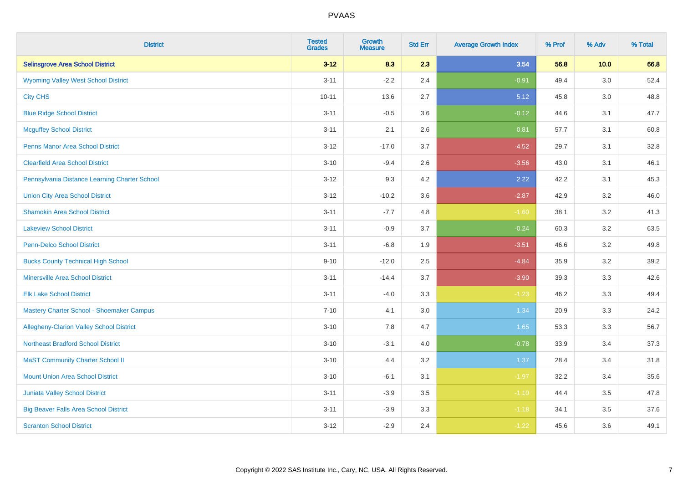| <b>District</b>                                 | <b>Tested</b><br><b>Grades</b> | <b>Growth</b><br><b>Measure</b> | <b>Std Err</b> | <b>Average Growth Index</b> | % Prof | % Adv   | % Total |
|-------------------------------------------------|--------------------------------|---------------------------------|----------------|-----------------------------|--------|---------|---------|
| <b>Selinsgrove Area School District</b>         | $3 - 12$                       | 8.3                             | 2.3            | 3.54                        | 56.8   | 10.0    | 66.8    |
| <b>Wyoming Valley West School District</b>      | $3 - 11$                       | $-2.2$                          | 2.4            | $-0.91$                     | 49.4   | $3.0\,$ | 52.4    |
| <b>City CHS</b>                                 | $10 - 11$                      | 13.6                            | 2.7            | 5.12                        | 45.8   | 3.0     | 48.8    |
| <b>Blue Ridge School District</b>               | $3 - 11$                       | $-0.5$                          | 3.6            | $-0.12$                     | 44.6   | 3.1     | 47.7    |
| <b>Mcguffey School District</b>                 | $3 - 11$                       | 2.1                             | 2.6            | 0.81                        | 57.7   | 3.1     | 60.8    |
| <b>Penns Manor Area School District</b>         | $3 - 12$                       | $-17.0$                         | 3.7            | $-4.52$                     | 29.7   | 3.1     | 32.8    |
| <b>Clearfield Area School District</b>          | $3 - 10$                       | $-9.4$                          | 2.6            | $-3.56$                     | 43.0   | 3.1     | 46.1    |
| Pennsylvania Distance Learning Charter School   | $3 - 12$                       | 9.3                             | 4.2            | 2.22                        | 42.2   | 3.1     | 45.3    |
| <b>Union City Area School District</b>          | $3 - 12$                       | $-10.2$                         | 3.6            | $-2.87$                     | 42.9   | 3.2     | 46.0    |
| <b>Shamokin Area School District</b>            | $3 - 11$                       | $-7.7$                          | 4.8            | $-1.60$                     | 38.1   | 3.2     | 41.3    |
| <b>Lakeview School District</b>                 | $3 - 11$                       | $-0.9$                          | 3.7            | $-0.24$                     | 60.3   | 3.2     | 63.5    |
| <b>Penn-Delco School District</b>               | $3 - 11$                       | $-6.8$                          | 1.9            | $-3.51$                     | 46.6   | 3.2     | 49.8    |
| <b>Bucks County Technical High School</b>       | $9 - 10$                       | $-12.0$                         | 2.5            | $-4.84$                     | 35.9   | 3.2     | 39.2    |
| <b>Minersville Area School District</b>         | $3 - 11$                       | $-14.4$                         | 3.7            | $-3.90$                     | 39.3   | 3.3     | 42.6    |
| <b>Elk Lake School District</b>                 | $3 - 11$                       | $-4.0$                          | 3.3            | $-1.23$                     | 46.2   | 3.3     | 49.4    |
| Mastery Charter School - Shoemaker Campus       | $7 - 10$                       | 4.1                             | 3.0            | 1.34                        | 20.9   | 3.3     | 24.2    |
| <b>Allegheny-Clarion Valley School District</b> | $3 - 10$                       | 7.8                             | 4.7            | 1.65                        | 53.3   | 3.3     | 56.7    |
| <b>Northeast Bradford School District</b>       | $3 - 10$                       | $-3.1$                          | 4.0            | $-0.78$                     | 33.9   | 3.4     | 37.3    |
| <b>MaST Community Charter School II</b>         | $3 - 10$                       | 4.4                             | 3.2            | 1.37                        | 28.4   | 3.4     | 31.8    |
| <b>Mount Union Area School District</b>         | $3 - 10$                       | $-6.1$                          | 3.1            | $-1.97$                     | 32.2   | 3.4     | 35.6    |
| <b>Juniata Valley School District</b>           | $3 - 11$                       | $-3.9$                          | 3.5            | $-1.10$                     | 44.4   | 3.5     | 47.8    |
| <b>Big Beaver Falls Area School District</b>    | $3 - 11$                       | $-3.9$                          | 3.3            | $-1.18$                     | 34.1   | 3.5     | 37.6    |
| <b>Scranton School District</b>                 | $3 - 12$                       | $-2.9$                          | 2.4            | $-1.22$                     | 45.6   | 3.6     | 49.1    |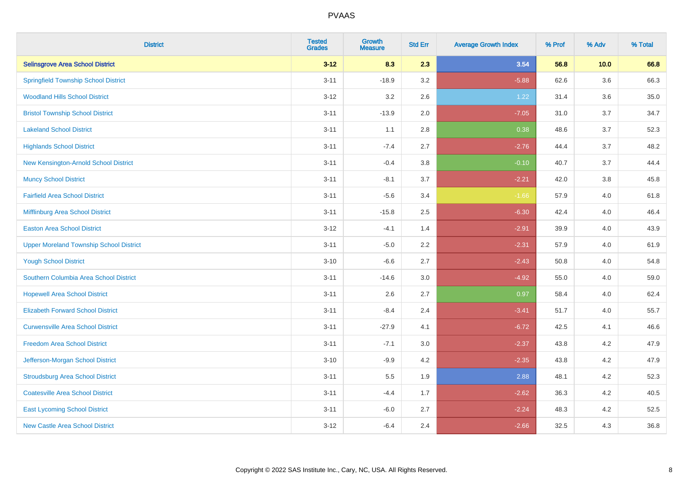| <b>District</b>                                | <b>Tested</b><br><b>Grades</b> | <b>Growth</b><br><b>Measure</b> | <b>Std Err</b> | <b>Average Growth Index</b> | % Prof | % Adv | % Total |
|------------------------------------------------|--------------------------------|---------------------------------|----------------|-----------------------------|--------|-------|---------|
| <b>Selinsgrove Area School District</b>        | $3 - 12$                       | 8.3                             | 2.3            | 3.54                        | 56.8   | 10.0  | 66.8    |
| <b>Springfield Township School District</b>    | $3 - 11$                       | $-18.9$                         | 3.2            | $-5.88$                     | 62.6   | 3.6   | 66.3    |
| <b>Woodland Hills School District</b>          | $3 - 12$                       | 3.2                             | 2.6            | 1.22                        | 31.4   | 3.6   | 35.0    |
| <b>Bristol Township School District</b>        | $3 - 11$                       | $-13.9$                         | 2.0            | $-7.05$                     | 31.0   | 3.7   | 34.7    |
| <b>Lakeland School District</b>                | $3 - 11$                       | 1.1                             | 2.8            | 0.38                        | 48.6   | 3.7   | 52.3    |
| <b>Highlands School District</b>               | $3 - 11$                       | $-7.4$                          | 2.7            | $-2.76$                     | 44.4   | 3.7   | 48.2    |
| New Kensington-Arnold School District          | $3 - 11$                       | $-0.4$                          | 3.8            | $-0.10$                     | 40.7   | 3.7   | 44.4    |
| <b>Muncy School District</b>                   | $3 - 11$                       | $-8.1$                          | 3.7            | $-2.21$                     | 42.0   | 3.8   | 45.8    |
| <b>Fairfield Area School District</b>          | $3 - 11$                       | $-5.6$                          | 3.4            | $-1.66$                     | 57.9   | 4.0   | 61.8    |
| Mifflinburg Area School District               | $3 - 11$                       | $-15.8$                         | 2.5            | $-6.30$                     | 42.4   | 4.0   | 46.4    |
| <b>Easton Area School District</b>             | $3 - 12$                       | $-4.1$                          | 1.4            | $-2.91$                     | 39.9   | 4.0   | 43.9    |
| <b>Upper Moreland Township School District</b> | $3 - 11$                       | $-5.0$                          | 2.2            | $-2.31$                     | 57.9   | 4.0   | 61.9    |
| <b>Yough School District</b>                   | $3 - 10$                       | $-6.6$                          | 2.7            | $-2.43$                     | 50.8   | 4.0   | 54.8    |
| Southern Columbia Area School District         | $3 - 11$                       | $-14.6$                         | 3.0            | $-4.92$                     | 55.0   | 4.0   | 59.0    |
| <b>Hopewell Area School District</b>           | $3 - 11$                       | 2.6                             | 2.7            | 0.97                        | 58.4   | 4.0   | 62.4    |
| <b>Elizabeth Forward School District</b>       | $3 - 11$                       | $-8.4$                          | 2.4            | $-3.41$                     | 51.7   | 4.0   | 55.7    |
| <b>Curwensville Area School District</b>       | $3 - 11$                       | $-27.9$                         | 4.1            | $-6.72$                     | 42.5   | 4.1   | 46.6    |
| <b>Freedom Area School District</b>            | $3 - 11$                       | $-7.1$                          | 3.0            | $-2.37$                     | 43.8   | 4.2   | 47.9    |
| Jefferson-Morgan School District               | $3 - 10$                       | $-9.9$                          | 4.2            | $-2.35$                     | 43.8   | 4.2   | 47.9    |
| <b>Stroudsburg Area School District</b>        | $3 - 11$                       | 5.5                             | 1.9            | 2.88                        | 48.1   | 4.2   | 52.3    |
| <b>Coatesville Area School District</b>        | $3 - 11$                       | $-4.4$                          | 1.7            | $-2.62$                     | 36.3   | 4.2   | 40.5    |
| <b>East Lycoming School District</b>           | $3 - 11$                       | $-6.0$                          | 2.7            | $-2.24$                     | 48.3   | 4.2   | 52.5    |
| <b>New Castle Area School District</b>         | $3 - 12$                       | $-6.4$                          | 2.4            | $-2.66$                     | 32.5   | 4.3   | 36.8    |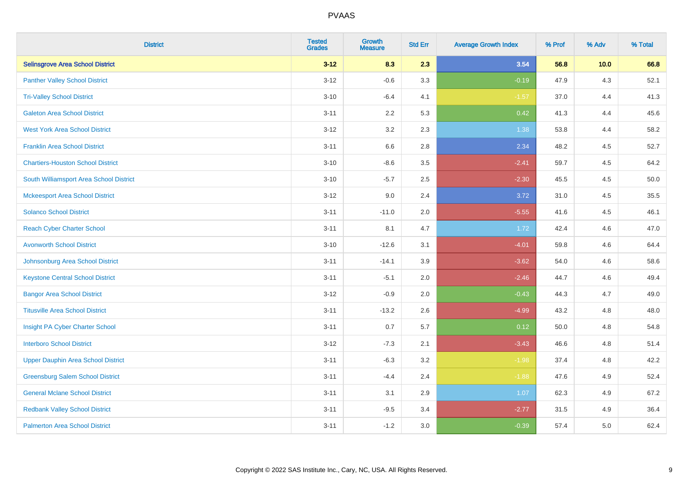| <b>District</b>                           | <b>Tested</b><br><b>Grades</b> | <b>Growth</b><br><b>Measure</b> | <b>Std Err</b> | <b>Average Growth Index</b> | % Prof | % Adv | % Total |
|-------------------------------------------|--------------------------------|---------------------------------|----------------|-----------------------------|--------|-------|---------|
| <b>Selinsgrove Area School District</b>   | $3 - 12$                       | 8.3                             | 2.3            | 3.54                        | 56.8   | 10.0  | 66.8    |
| <b>Panther Valley School District</b>     | $3 - 12$                       | $-0.6$                          | 3.3            | $-0.19$                     | 47.9   | $4.3$ | 52.1    |
| <b>Tri-Valley School District</b>         | $3 - 10$                       | $-6.4$                          | 4.1            | $-1.57$                     | 37.0   | 4.4   | 41.3    |
| <b>Galeton Area School District</b>       | $3 - 11$                       | 2.2                             | 5.3            | 0.42                        | 41.3   | 4.4   | 45.6    |
| <b>West York Area School District</b>     | $3 - 12$                       | 3.2                             | 2.3            | 1.38                        | 53.8   | 4.4   | 58.2    |
| <b>Franklin Area School District</b>      | $3 - 11$                       | 6.6                             | 2.8            | 2.34                        | 48.2   | 4.5   | 52.7    |
| <b>Chartiers-Houston School District</b>  | $3 - 10$                       | $-8.6$                          | 3.5            | $-2.41$                     | 59.7   | 4.5   | 64.2    |
| South Williamsport Area School District   | $3 - 10$                       | $-5.7$                          | 2.5            | $-2.30$                     | 45.5   | 4.5   | 50.0    |
| <b>Mckeesport Area School District</b>    | $3 - 12$                       | 9.0                             | 2.4            | 3.72                        | 31.0   | 4.5   | 35.5    |
| <b>Solanco School District</b>            | $3 - 11$                       | $-11.0$                         | 2.0            | $-5.55$                     | 41.6   | 4.5   | 46.1    |
| <b>Reach Cyber Charter School</b>         | $3 - 11$                       | 8.1                             | 4.7            | 1.72                        | 42.4   | 4.6   | 47.0    |
| <b>Avonworth School District</b>          | $3 - 10$                       | $-12.6$                         | 3.1            | $-4.01$                     | 59.8   | 4.6   | 64.4    |
| Johnsonburg Area School District          | $3 - 11$                       | $-14.1$                         | 3.9            | $-3.62$                     | 54.0   | 4.6   | 58.6    |
| <b>Keystone Central School District</b>   | $3 - 11$                       | $-5.1$                          | 2.0            | $-2.46$                     | 44.7   | 4.6   | 49.4    |
| <b>Bangor Area School District</b>        | $3 - 12$                       | $-0.9$                          | 2.0            | $-0.43$                     | 44.3   | 4.7   | 49.0    |
| <b>Titusville Area School District</b>    | $3 - 11$                       | $-13.2$                         | 2.6            | $-4.99$                     | 43.2   | 4.8   | 48.0    |
| Insight PA Cyber Charter School           | $3 - 11$                       | 0.7                             | 5.7            | 0.12                        | 50.0   | 4.8   | 54.8    |
| <b>Interboro School District</b>          | $3 - 12$                       | $-7.3$                          | 2.1            | $-3.43$                     | 46.6   | 4.8   | 51.4    |
| <b>Upper Dauphin Area School District</b> | $3 - 11$                       | $-6.3$                          | 3.2            | $-1.98$                     | 37.4   | 4.8   | 42.2    |
| <b>Greensburg Salem School District</b>   | $3 - 11$                       | $-4.4$                          | 2.4            | $-1.88$                     | 47.6   | 4.9   | 52.4    |
| <b>General Mclane School District</b>     | $3 - 11$                       | 3.1                             | 2.9            | 1.07                        | 62.3   | 4.9   | 67.2    |
| <b>Redbank Valley School District</b>     | $3 - 11$                       | $-9.5$                          | 3.4            | $-2.77$                     | 31.5   | 4.9   | 36.4    |
| <b>Palmerton Area School District</b>     | $3 - 11$                       | $-1.2$                          | 3.0            | $-0.39$                     | 57.4   | 5.0   | 62.4    |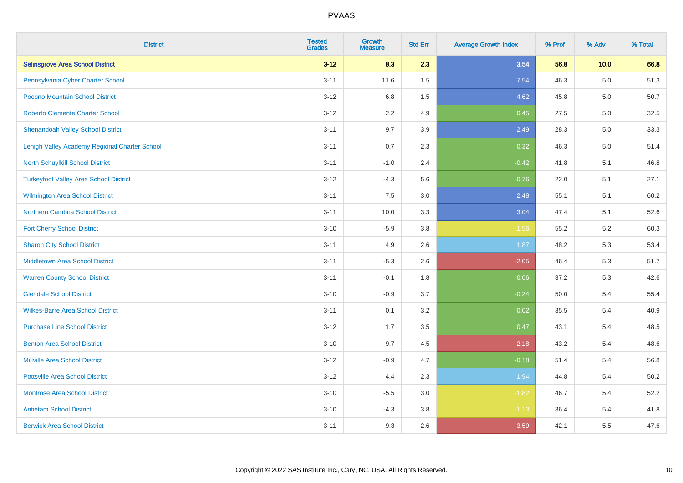| <b>District</b>                               | <b>Tested</b><br><b>Grades</b> | <b>Growth</b><br><b>Measure</b> | <b>Std Err</b> | <b>Average Growth Index</b> | % Prof | % Adv | % Total |
|-----------------------------------------------|--------------------------------|---------------------------------|----------------|-----------------------------|--------|-------|---------|
| <b>Selinsgrove Area School District</b>       | $3 - 12$                       | 8.3                             | 2.3            | 3.54                        | 56.8   | 10.0  | 66.8    |
| Pennsylvania Cyber Charter School             | $3 - 11$                       | 11.6                            | 1.5            | 7.54                        | 46.3   | 5.0   | 51.3    |
| Pocono Mountain School District               | $3 - 12$                       | $6.8\,$                         | 1.5            | 4.62                        | 45.8   | 5.0   | 50.7    |
| <b>Roberto Clemente Charter School</b>        | $3 - 12$                       | 2.2                             | 4.9            | 0.45                        | 27.5   | 5.0   | 32.5    |
| <b>Shenandoah Valley School District</b>      | $3 - 11$                       | 9.7                             | 3.9            | 2.49                        | 28.3   | 5.0   | 33.3    |
| Lehigh Valley Academy Regional Charter School | $3 - 11$                       | 0.7                             | 2.3            | 0.32                        | 46.3   | 5.0   | 51.4    |
| North Schuylkill School District              | $3 - 11$                       | $-1.0$                          | 2.4            | $-0.42$                     | 41.8   | 5.1   | 46.8    |
| <b>Turkeyfoot Valley Area School District</b> | $3 - 12$                       | $-4.3$                          | 5.6            | $-0.76$                     | 22.0   | 5.1   | 27.1    |
| <b>Wilmington Area School District</b>        | $3 - 11$                       | 7.5                             | 3.0            | 2.48                        | 55.1   | 5.1   | 60.2    |
| <b>Northern Cambria School District</b>       | $3 - 11$                       | 10.0                            | 3.3            | 3.04                        | 47.4   | 5.1   | 52.6    |
| <b>Fort Cherry School District</b>            | $3 - 10$                       | $-5.9$                          | 3.8            | $-1.56$                     | 55.2   | 5.2   | 60.3    |
| <b>Sharon City School District</b>            | $3 - 11$                       | 4.9                             | 2.6            | 1.87                        | 48.2   | 5.3   | 53.4    |
| <b>Middletown Area School District</b>        | $3 - 11$                       | $-5.3$                          | 2.6            | $-2.05$                     | 46.4   | 5.3   | 51.7    |
| <b>Warren County School District</b>          | $3 - 11$                       | $-0.1$                          | 1.8            | $-0.06$                     | 37.2   | 5.3   | 42.6    |
| <b>Glendale School District</b>               | $3 - 10$                       | $-0.9$                          | 3.7            | $-0.24$                     | 50.0   | 5.4   | 55.4    |
| <b>Wilkes-Barre Area School District</b>      | $3 - 11$                       | 0.1                             | 3.2            | 0.02                        | 35.5   | 5.4   | 40.9    |
| <b>Purchase Line School District</b>          | $3-12$                         | 1.7                             | 3.5            | 0.47                        | 43.1   | 5.4   | 48.5    |
| <b>Benton Area School District</b>            | $3 - 10$                       | $-9.7$                          | 4.5            | $-2.18$                     | 43.2   | 5.4   | 48.6    |
| <b>Millville Area School District</b>         | $3-12$                         | $-0.9$                          | 4.7            | $-0.18$                     | 51.4   | 5.4   | 56.8    |
| <b>Pottsville Area School District</b>        | $3 - 12$                       | 4.4                             | 2.3            | 1.94                        | 44.8   | 5.4   | 50.2    |
| <b>Montrose Area School District</b>          | $3 - 10$                       | $-5.5$                          | 3.0            | $-1.82$                     | 46.7   | 5.4   | 52.2    |
| <b>Antietam School District</b>               | $3 - 10$                       | $-4.3$                          | 3.8            | $-1.13$                     | 36.4   | 5.4   | 41.8    |
| <b>Berwick Area School District</b>           | $3 - 11$                       | $-9.3$                          | 2.6            | $-3.59$                     | 42.1   | 5.5   | 47.6    |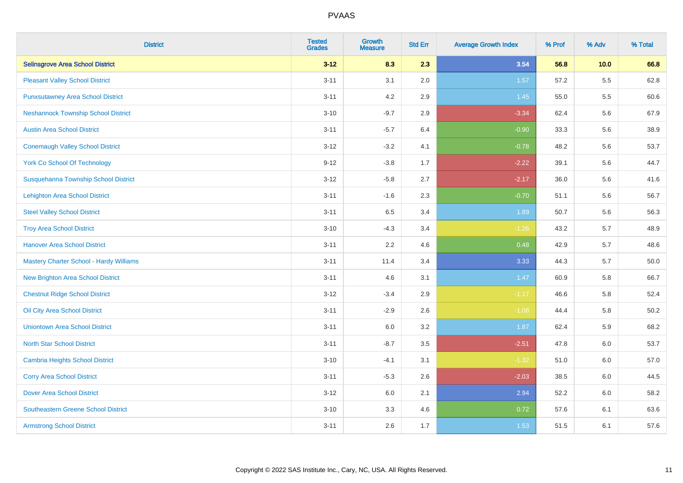| <b>District</b>                                | <b>Tested</b><br><b>Grades</b> | <b>Growth</b><br><b>Measure</b> | <b>Std Err</b> | <b>Average Growth Index</b> | % Prof | % Adv   | % Total |
|------------------------------------------------|--------------------------------|---------------------------------|----------------|-----------------------------|--------|---------|---------|
| <b>Selinsgrove Area School District</b>        | $3 - 12$                       | 8.3                             | 2.3            | 3.54                        | 56.8   | 10.0    | 66.8    |
| <b>Pleasant Valley School District</b>         | $3 - 11$                       | 3.1                             | 2.0            | 1.57                        | 57.2   | $5.5\,$ | 62.8    |
| <b>Punxsutawney Area School District</b>       | $3 - 11$                       | 4.2                             | 2.9            | 1.45                        | 55.0   | 5.5     | 60.6    |
| <b>Neshannock Township School District</b>     | $3 - 10$                       | $-9.7$                          | 2.9            | $-3.34$                     | 62.4   | 5.6     | 67.9    |
| <b>Austin Area School District</b>             | $3 - 11$                       | $-5.7$                          | 6.4            | $-0.90$                     | 33.3   | 5.6     | 38.9    |
| <b>Conemaugh Valley School District</b>        | $3 - 12$                       | $-3.2$                          | 4.1            | $-0.78$                     | 48.2   | 5.6     | 53.7    |
| <b>York Co School Of Technology</b>            | $9 - 12$                       | $-3.8$                          | 1.7            | $-2.22$                     | 39.1   | 5.6     | 44.7    |
| Susquehanna Township School District           | $3 - 12$                       | $-5.8$                          | 2.7            | $-2.17$                     | 36.0   | 5.6     | 41.6    |
| <b>Lehighton Area School District</b>          | $3 - 11$                       | $-1.6$                          | 2.3            | $-0.70$                     | 51.1   | 5.6     | 56.7    |
| <b>Steel Valley School District</b>            | $3 - 11$                       | 6.5                             | 3.4            | 1.89                        | 50.7   | 5.6     | 56.3    |
| <b>Troy Area School District</b>               | $3 - 10$                       | $-4.3$                          | 3.4            | $-1.26$                     | 43.2   | 5.7     | 48.9    |
| <b>Hanover Area School District</b>            | $3 - 11$                       | 2.2                             | 4.6            | 0.48                        | 42.9   | 5.7     | 48.6    |
| <b>Mastery Charter School - Hardy Williams</b> | $3 - 11$                       | 11.4                            | 3.4            | 3.33                        | 44.3   | 5.7     | 50.0    |
| <b>New Brighton Area School District</b>       | $3 - 11$                       | 4.6                             | 3.1            | 1.47                        | 60.9   | 5.8     | 66.7    |
| <b>Chestnut Ridge School District</b>          | $3 - 12$                       | $-3.4$                          | 2.9            | $-1.17$                     | 46.6   | 5.8     | 52.4    |
| Oil City Area School District                  | $3 - 11$                       | $-2.9$                          | 2.6            | $-1.08$                     | 44.4   | 5.8     | 50.2    |
| <b>Uniontown Area School District</b>          | $3 - 11$                       | 6.0                             | 3.2            | 1.87                        | 62.4   | 5.9     | 68.2    |
| <b>North Star School District</b>              | $3 - 11$                       | $-8.7$                          | 3.5            | $-2.51$                     | 47.8   | 6.0     | 53.7    |
| <b>Cambria Heights School District</b>         | $3 - 10$                       | $-4.1$                          | 3.1            | $-1.32$                     | 51.0   | 6.0     | 57.0    |
| <b>Corry Area School District</b>              | $3 - 11$                       | $-5.3$                          | 2.6            | $-2.03$                     | 38.5   | 6.0     | 44.5    |
| <b>Dover Area School District</b>              | $3 - 12$                       | 6.0                             | 2.1            | 2.94                        | 52.2   | 6.0     | 58.2    |
| <b>Southeastern Greene School District</b>     | $3 - 10$                       | 3.3                             | 4.6            | 0.72                        | 57.6   | 6.1     | 63.6    |
| <b>Armstrong School District</b>               | $3 - 11$                       | 2.6                             | 1.7            | 1.53                        | 51.5   | 6.1     | 57.6    |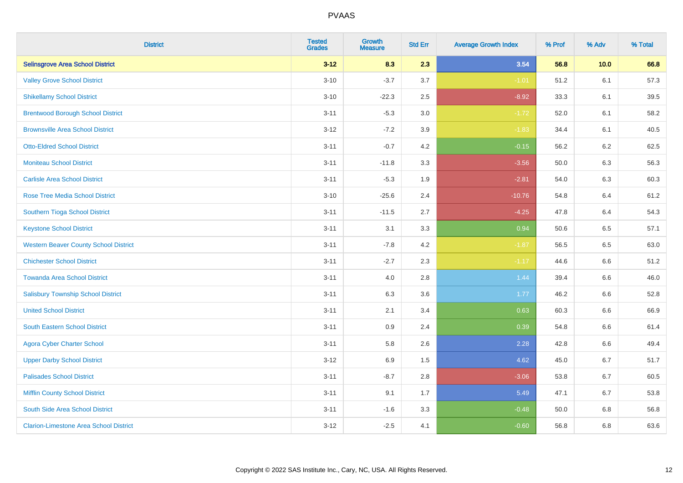| <b>District</b>                               | <b>Tested</b><br><b>Grades</b> | <b>Growth</b><br><b>Measure</b> | <b>Std Err</b> | <b>Average Growth Index</b> | % Prof | % Adv   | % Total |
|-----------------------------------------------|--------------------------------|---------------------------------|----------------|-----------------------------|--------|---------|---------|
| <b>Selinsgrove Area School District</b>       | $3 - 12$                       | 8.3                             | 2.3            | 3.54                        | 56.8   | 10.0    | 66.8    |
| <b>Valley Grove School District</b>           | $3 - 10$                       | $-3.7$                          | 3.7            | $-1.01$                     | 51.2   | 6.1     | 57.3    |
| <b>Shikellamy School District</b>             | $3 - 10$                       | $-22.3$                         | 2.5            | $-8.92$                     | 33.3   | 6.1     | 39.5    |
| <b>Brentwood Borough School District</b>      | $3 - 11$                       | $-5.3$                          | 3.0            | $-1.72$                     | 52.0   | 6.1     | 58.2    |
| <b>Brownsville Area School District</b>       | $3 - 12$                       | $-7.2$                          | 3.9            | $-1.83$                     | 34.4   | 6.1     | 40.5    |
| <b>Otto-Eldred School District</b>            | $3 - 11$                       | $-0.7$                          | 4.2            | $-0.15$                     | 56.2   | 6.2     | 62.5    |
| <b>Moniteau School District</b>               | $3 - 11$                       | $-11.8$                         | 3.3            | $-3.56$                     | 50.0   | 6.3     | 56.3    |
| <b>Carlisle Area School District</b>          | $3 - 11$                       | $-5.3$                          | 1.9            | $-2.81$                     | 54.0   | 6.3     | 60.3    |
| Rose Tree Media School District               | $3 - 10$                       | $-25.6$                         | 2.4            | $-10.76$                    | 54.8   | 6.4     | 61.2    |
| Southern Tioga School District                | $3 - 11$                       | $-11.5$                         | 2.7            | $-4.25$                     | 47.8   | 6.4     | 54.3    |
| <b>Keystone School District</b>               | $3 - 11$                       | 3.1                             | 3.3            | 0.94                        | 50.6   | 6.5     | 57.1    |
| <b>Western Beaver County School District</b>  | $3 - 11$                       | $-7.8$                          | 4.2            | $-1.87$                     | 56.5   | 6.5     | 63.0    |
| <b>Chichester School District</b>             | $3 - 11$                       | $-2.7$                          | 2.3            | $-1.17$                     | 44.6   | 6.6     | 51.2    |
| <b>Towanda Area School District</b>           | $3 - 11$                       | 4.0                             | 2.8            | 1.44                        | 39.4   | 6.6     | 46.0    |
| <b>Salisbury Township School District</b>     | $3 - 11$                       | 6.3                             | 3.6            | 1.77                        | 46.2   | 6.6     | 52.8    |
| <b>United School District</b>                 | $3 - 11$                       | 2.1                             | 3.4            | 0.63                        | 60.3   | $6.6\,$ | 66.9    |
| <b>South Eastern School District</b>          | $3 - 11$                       | 0.9                             | 2.4            | 0.39                        | 54.8   | 6.6     | 61.4    |
| <b>Agora Cyber Charter School</b>             | $3 - 11$                       | 5.8                             | 2.6            | 2.28                        | 42.8   | 6.6     | 49.4    |
| <b>Upper Darby School District</b>            | $3 - 12$                       | 6.9                             | 1.5            | 4.62                        | 45.0   | 6.7     | 51.7    |
| <b>Palisades School District</b>              | $3 - 11$                       | $-8.7$                          | 2.8            | $-3.06$                     | 53.8   | 6.7     | 60.5    |
| <b>Mifflin County School District</b>         | $3 - 11$                       | 9.1                             | 1.7            | 5.49                        | 47.1   | 6.7     | 53.8    |
| South Side Area School District               | $3 - 11$                       | $-1.6$                          | 3.3            | $-0.48$                     | 50.0   | 6.8     | 56.8    |
| <b>Clarion-Limestone Area School District</b> | $3 - 12$                       | $-2.5$                          | 4.1            | $-0.60$                     | 56.8   | 6.8     | 63.6    |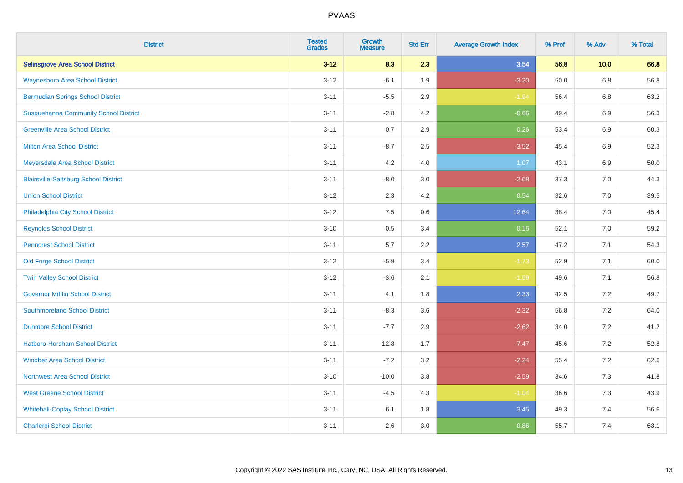| <b>District</b>                              | <b>Tested</b><br><b>Grades</b> | <b>Growth</b><br><b>Measure</b> | <b>Std Err</b> | <b>Average Growth Index</b> | % Prof | % Adv   | % Total |
|----------------------------------------------|--------------------------------|---------------------------------|----------------|-----------------------------|--------|---------|---------|
| <b>Selinsgrove Area School District</b>      | $3 - 12$                       | 8.3                             | 2.3            | 3.54                        | 56.8   | 10.0    | 66.8    |
| <b>Waynesboro Area School District</b>       | $3 - 12$                       | $-6.1$                          | 1.9            | $-3.20$                     | 50.0   | $6.8\,$ | 56.8    |
| <b>Bermudian Springs School District</b>     | $3 - 11$                       | $-5.5$                          | 2.9            | $-1.94$                     | 56.4   | 6.8     | 63.2    |
| <b>Susquehanna Community School District</b> | $3 - 11$                       | $-2.8$                          | 4.2            | $-0.66$                     | 49.4   | $6.9\,$ | 56.3    |
| <b>Greenville Area School District</b>       | $3 - 11$                       | 0.7                             | 2.9            | 0.26                        | 53.4   | 6.9     | 60.3    |
| <b>Milton Area School District</b>           | $3 - 11$                       | $-8.7$                          | 2.5            | $-3.52$                     | 45.4   | $6.9\,$ | 52.3    |
| Meyersdale Area School District              | $3 - 11$                       | 4.2                             | 4.0            | 1.07                        | 43.1   | 6.9     | 50.0    |
| <b>Blairsville-Saltsburg School District</b> | $3 - 11$                       | $-8.0$                          | 3.0            | $-2.68$                     | 37.3   | 7.0     | 44.3    |
| <b>Union School District</b>                 | $3 - 12$                       | 2.3                             | 4.2            | 0.54                        | 32.6   | 7.0     | 39.5    |
| Philadelphia City School District            | $3 - 12$                       | 7.5                             | 0.6            | 12.64                       | 38.4   | 7.0     | 45.4    |
| <b>Reynolds School District</b>              | $3 - 10$                       | 0.5                             | 3.4            | 0.16                        | 52.1   | 7.0     | 59.2    |
| <b>Penncrest School District</b>             | $3 - 11$                       | 5.7                             | 2.2            | 2.57                        | 47.2   | 7.1     | 54.3    |
| <b>Old Forge School District</b>             | $3 - 12$                       | $-5.9$                          | 3.4            | $-1.73$                     | 52.9   | 7.1     | 60.0    |
| <b>Twin Valley School District</b>           | $3 - 12$                       | $-3.6$                          | 2.1            | $-1.69$                     | 49.6   | 7.1     | 56.8    |
| <b>Governor Mifflin School District</b>      | $3 - 11$                       | 4.1                             | 1.8            | 2.33                        | 42.5   | 7.2     | 49.7    |
| <b>Southmoreland School District</b>         | $3 - 11$                       | $-8.3$                          | 3.6            | $-2.32$                     | 56.8   | 7.2     | 64.0    |
| <b>Dunmore School District</b>               | $3 - 11$                       | $-7.7$                          | 2.9            | $-2.62$                     | 34.0   | 7.2     | 41.2    |
| <b>Hatboro-Horsham School District</b>       | $3 - 11$                       | $-12.8$                         | 1.7            | $-7.47$                     | 45.6   | 7.2     | 52.8    |
| <b>Windber Area School District</b>          | $3 - 11$                       | $-7.2$                          | 3.2            | $-2.24$                     | 55.4   | 7.2     | 62.6    |
| <b>Northwest Area School District</b>        | $3 - 10$                       | $-10.0$                         | 3.8            | $-2.59$                     | 34.6   | 7.3     | 41.8    |
| <b>West Greene School District</b>           | $3 - 11$                       | $-4.5$                          | 4.3            | $-1.04$                     | 36.6   | 7.3     | 43.9    |
| <b>Whitehall-Coplay School District</b>      | $3 - 11$                       | 6.1                             | 1.8            | 3.45                        | 49.3   | 7.4     | 56.6    |
| <b>Charleroi School District</b>             | $3 - 11$                       | $-2.6$                          | 3.0            | $-0.86$                     | 55.7   | 7.4     | 63.1    |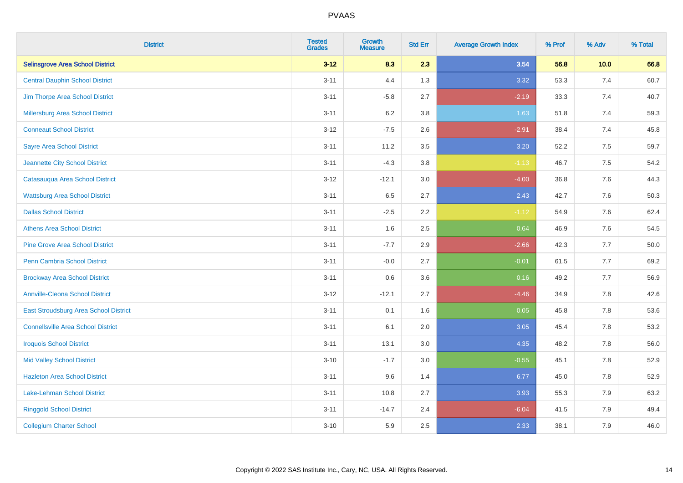| <b>District</b>                           | <b>Tested</b><br><b>Grades</b> | <b>Growth</b><br><b>Measure</b> | <b>Std Err</b> | <b>Average Growth Index</b> | % Prof | % Adv   | % Total |
|-------------------------------------------|--------------------------------|---------------------------------|----------------|-----------------------------|--------|---------|---------|
| <b>Selinsgrove Area School District</b>   | $3 - 12$                       | 8.3                             | 2.3            | 3.54                        | 56.8   | 10.0    | 66.8    |
| <b>Central Dauphin School District</b>    | $3 - 11$                       | 4.4                             | 1.3            | 3.32                        | 53.3   | 7.4     | 60.7    |
| Jim Thorpe Area School District           | $3 - 11$                       | $-5.8$                          | 2.7            | $-2.19$                     | 33.3   | 7.4     | 40.7    |
| <b>Millersburg Area School District</b>   | $3 - 11$                       | $6.2\,$                         | 3.8            | 1.63                        | 51.8   | 7.4     | 59.3    |
| <b>Conneaut School District</b>           | $3 - 12$                       | $-7.5$                          | 2.6            | $-2.91$                     | 38.4   | 7.4     | 45.8    |
| <b>Sayre Area School District</b>         | $3 - 11$                       | 11.2                            | 3.5            | 3.20                        | 52.2   | 7.5     | 59.7    |
| Jeannette City School District            | $3 - 11$                       | $-4.3$                          | 3.8            | $-1.13$                     | 46.7   | 7.5     | 54.2    |
| Catasauqua Area School District           | $3 - 12$                       | $-12.1$                         | 3.0            | $-4.00$                     | 36.8   | 7.6     | 44.3    |
| <b>Wattsburg Area School District</b>     | $3 - 11$                       | 6.5                             | 2.7            | 2.43                        | 42.7   | 7.6     | 50.3    |
| <b>Dallas School District</b>             | $3 - 11$                       | $-2.5$                          | 2.2            | $-1.12$                     | 54.9   | 7.6     | 62.4    |
| <b>Athens Area School District</b>        | $3 - 11$                       | 1.6                             | 2.5            | 0.64                        | 46.9   | 7.6     | 54.5    |
| <b>Pine Grove Area School District</b>    | $3 - 11$                       | $-7.7$                          | 2.9            | $-2.66$                     | 42.3   | 7.7     | 50.0    |
| Penn Cambria School District              | $3 - 11$                       | $-0.0$                          | 2.7            | $-0.01$                     | 61.5   | 7.7     | 69.2    |
| <b>Brockway Area School District</b>      | $3 - 11$                       | 0.6                             | 3.6            | 0.16                        | 49.2   | 7.7     | 56.9    |
| <b>Annville-Cleona School District</b>    | $3 - 12$                       | $-12.1$                         | 2.7            | $-4.46$                     | 34.9   | 7.8     | 42.6    |
| East Stroudsburg Area School District     | $3 - 11$                       | 0.1                             | 1.6            | 0.05                        | 45.8   | $7.8\,$ | 53.6    |
| <b>Connellsville Area School District</b> | $3 - 11$                       | 6.1                             | 2.0            | 3.05                        | 45.4   | 7.8     | 53.2    |
| <b>Iroquois School District</b>           | $3 - 11$                       | 13.1                            | 3.0            | 4.35                        | 48.2   | 7.8     | 56.0    |
| <b>Mid Valley School District</b>         | $3 - 10$                       | $-1.7$                          | 3.0            | $-0.55$                     | 45.1   | 7.8     | 52.9    |
| <b>Hazleton Area School District</b>      | $3 - 11$                       | 9.6                             | 1.4            | 6.77                        | 45.0   | 7.8     | 52.9    |
| Lake-Lehman School District               | $3 - 11$                       | 10.8                            | 2.7            | 3.93                        | 55.3   | 7.9     | 63.2    |
| <b>Ringgold School District</b>           | $3 - 11$                       | $-14.7$                         | 2.4            | $-6.04$                     | 41.5   | 7.9     | 49.4    |
| <b>Collegium Charter School</b>           | $3 - 10$                       | 5.9                             | 2.5            | 2.33                        | 38.1   | 7.9     | 46.0    |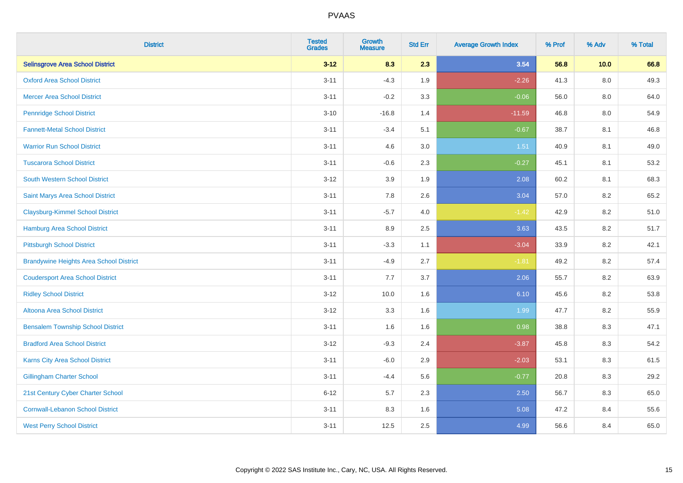| <b>District</b>                                | <b>Tested</b><br><b>Grades</b> | <b>Growth</b><br><b>Measure</b> | <b>Std Err</b> | <b>Average Growth Index</b> | % Prof | % Adv   | % Total |
|------------------------------------------------|--------------------------------|---------------------------------|----------------|-----------------------------|--------|---------|---------|
| <b>Selinsgrove Area School District</b>        | $3 - 12$                       | 8.3                             | 2.3            | 3.54                        | 56.8   | 10.0    | 66.8    |
| <b>Oxford Area School District</b>             | $3 - 11$                       | $-4.3$                          | 1.9            | $-2.26$                     | 41.3   | $8.0\,$ | 49.3    |
| <b>Mercer Area School District</b>             | $3 - 11$                       | $-0.2$                          | 3.3            | $-0.06$                     | 56.0   | 8.0     | 64.0    |
| <b>Pennridge School District</b>               | $3 - 10$                       | $-16.8$                         | 1.4            | $-11.59$                    | 46.8   | $8.0\,$ | 54.9    |
| <b>Fannett-Metal School District</b>           | $3 - 11$                       | $-3.4$                          | 5.1            | $-0.67$                     | 38.7   | 8.1     | 46.8    |
| <b>Warrior Run School District</b>             | $3 - 11$                       | 4.6                             | 3.0            | 1.51                        | 40.9   | 8.1     | 49.0    |
| <b>Tuscarora School District</b>               | $3 - 11$                       | $-0.6$                          | 2.3            | $-0.27$                     | 45.1   | 8.1     | 53.2    |
| <b>South Western School District</b>           | $3 - 12$                       | 3.9                             | 1.9            | 2.08                        | 60.2   | 8.1     | 68.3    |
| Saint Marys Area School District               | $3 - 11$                       | 7.8                             | 2.6            | 3.04                        | 57.0   | 8.2     | 65.2    |
| <b>Claysburg-Kimmel School District</b>        | $3 - 11$                       | $-5.7$                          | 4.0            | $-1.42$                     | 42.9   | $8.2\,$ | 51.0    |
| <b>Hamburg Area School District</b>            | $3 - 11$                       | 8.9                             | 2.5            | 3.63                        | 43.5   | 8.2     | 51.7    |
| <b>Pittsburgh School District</b>              | $3 - 11$                       | $-3.3$                          | 1.1            | $-3.04$                     | 33.9   | 8.2     | 42.1    |
| <b>Brandywine Heights Area School District</b> | $3 - 11$                       | $-4.9$                          | 2.7            | $-1.81$                     | 49.2   | 8.2     | 57.4    |
| <b>Coudersport Area School District</b>        | $3 - 11$                       | $7.7\,$                         | 3.7            | 2.06                        | 55.7   | 8.2     | 63.9    |
| <b>Ridley School District</b>                  | $3 - 12$                       | 10.0                            | 1.6            | 6.10                        | 45.6   | 8.2     | 53.8    |
| <b>Altoona Area School District</b>            | $3 - 12$                       | 3.3                             | 1.6            | 1.99                        | 47.7   | 8.2     | 55.9    |
| <b>Bensalem Township School District</b>       | $3 - 11$                       | 1.6                             | 1.6            | 0.98                        | 38.8   | 8.3     | 47.1    |
| <b>Bradford Area School District</b>           | $3 - 12$                       | $-9.3$                          | 2.4            | $-3.87$                     | 45.8   | 8.3     | 54.2    |
| Karns City Area School District                | $3 - 11$                       | $-6.0$                          | 2.9            | $-2.03$                     | 53.1   | $8.3\,$ | 61.5    |
| <b>Gillingham Charter School</b>               | $3 - 11$                       | $-4.4$                          | 5.6            | $-0.77$                     | 20.8   | 8.3     | 29.2    |
| 21st Century Cyber Charter School              | $6 - 12$                       | 5.7                             | 2.3            | 2.50                        | 56.7   | 8.3     | 65.0    |
| <b>Cornwall-Lebanon School District</b>        | $3 - 11$                       | 8.3                             | 1.6            | 5.08                        | 47.2   | 8.4     | 55.6    |
| <b>West Perry School District</b>              | $3 - 11$                       | 12.5                            | 2.5            | 4.99                        | 56.6   | 8.4     | 65.0    |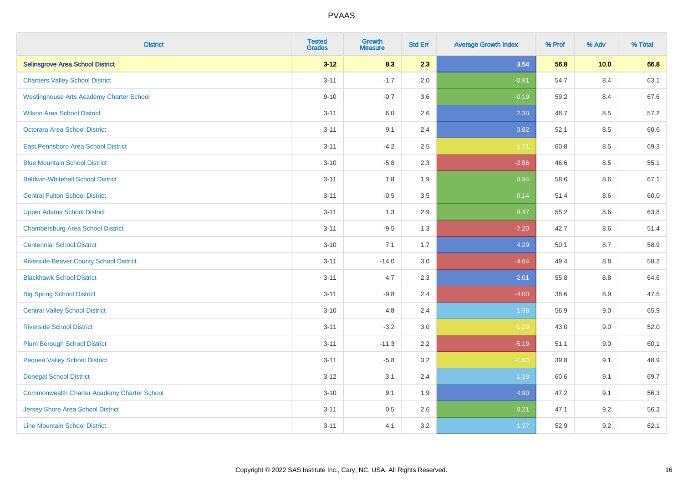| <b>District</b>                                    | <b>Tested</b><br><b>Grades</b> | <b>Growth</b><br><b>Measure</b> | <b>Std Err</b> | <b>Average Growth Index</b> | % Prof | % Adv | % Total |
|----------------------------------------------------|--------------------------------|---------------------------------|----------------|-----------------------------|--------|-------|---------|
| <b>Selinsgrove Area School District</b>            | $3 - 12$                       | 8.3                             | 2.3            | 3.54                        | 56.8   | 10.0  | 66.8    |
| <b>Chartiers Valley School District</b>            | $3 - 11$                       | $-1.7$                          | 2.0            | $-0.81$                     | 54.7   | 8.4   | 63.1    |
| <b>Westinghouse Arts Academy Charter School</b>    | $9 - 10$                       | $-0.7$                          | 3.6            | $-0.19$                     | 59.2   | 8.4   | 67.6    |
| <b>Wilson Area School District</b>                 | $3 - 11$                       | $6.0\,$                         | 2.6            | 2.30                        | 48.7   | 8.5   | 57.2    |
| Octorara Area School District                      | $3 - 11$                       | 9.1                             | 2.4            | 3.82                        | 52.1   | 8.5   | 60.6    |
| East Pennsboro Area School District                | $3 - 11$                       | $-4.2$                          | 2.5            | $-1.71$                     | 60.8   | 8.5   | 69.3    |
| <b>Blue Mountain School District</b>               | $3 - 10$                       | $-5.8$                          | 2.3            | $-2.56$                     | 46.6   | 8.5   | 55.1    |
| <b>Baldwin-Whitehall School District</b>           | $3 - 11$                       | 1.8                             | 1.9            | 0.94                        | 58.6   | 8.6   | 67.1    |
| <b>Central Fulton School District</b>              | $3 - 11$                       | $-0.5$                          | 3.5            | $-0.14$                     | 51.4   | 8.6   | 60.0    |
| <b>Upper Adams School District</b>                 | $3 - 11$                       | 1.3                             | 2.9            | 0.47                        | 55.2   | 8.6   | 63.8    |
| <b>Chambersburg Area School District</b>           | $3 - 11$                       | $-9.5$                          | 1.3            | $-7.20$                     | 42.7   | 8.6   | 51.4    |
| <b>Centennial School District</b>                  | $3 - 10$                       | 7.1                             | 1.7            | 4.29                        | 50.1   | 8.7   | 58.9    |
| <b>Riverside Beaver County School District</b>     | $3 - 11$                       | $-14.0$                         | 3.0            | $-4.64$                     | 49.4   | 8.8   | 58.2    |
| <b>Blackhawk School District</b>                   | $3 - 11$                       | 4.7                             | 2.3            | 2.01                        | 55.8   | 8.8   | 64.6    |
| <b>Big Spring School District</b>                  | $3 - 11$                       | $-9.8$                          | 2.4            | $-4.00$                     | 38.6   | 8.9   | 47.5    |
| <b>Central Valley School District</b>              | $3 - 10$                       | 4.8                             | 2.4            | 1.98                        | 56.9   | 9.0   | 65.9    |
| <b>Riverside School District</b>                   | $3 - 11$                       | $-3.2$                          | 3.0            | $-1.09$                     | 43.0   | 9.0   | 52.0    |
| <b>Plum Borough School District</b>                | $3 - 11$                       | $-11.3$                         | 2.2            | $-5.19$                     | 51.1   | 9.0   | 60.1    |
| <b>Pequea Valley School District</b>               | $3 - 11$                       | $-5.8$                          | 3.2            | $-1.80$                     | 39.8   | 9.1   | 48.9    |
| <b>Donegal School District</b>                     | $3 - 12$                       | 3.1                             | 2.4            | 1.29                        | 60.6   | 9.1   | 69.7    |
| <b>Commonwealth Charter Academy Charter School</b> | $3 - 10$                       | 9.1                             | 1.9            | 4.90                        | 47.2   | 9.1   | 56.3    |
| <b>Jersey Shore Area School District</b>           | $3 - 11$                       | $0.5\,$                         | 2.6            | 0.21                        | 47.1   | 9.2   | 56.2    |
| <b>Line Mountain School District</b>               | $3 - 11$                       | 4.1                             | 3.2            | 1.27                        | 52.9   | 9.2   | 62.1    |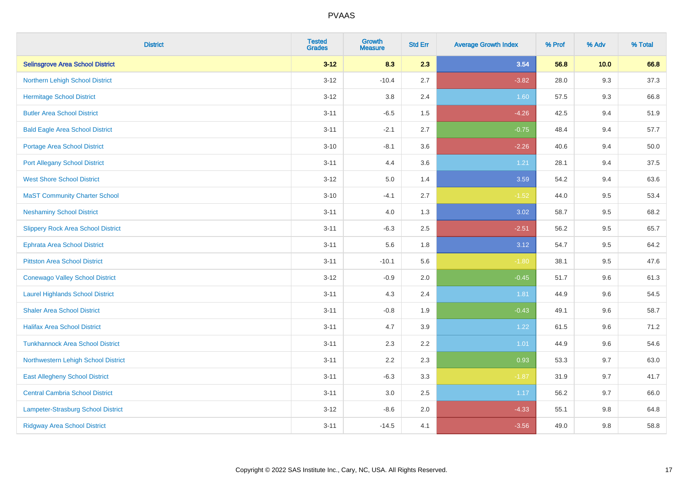| <b>District</b>                           | <b>Tested</b><br><b>Grades</b> | <b>Growth</b><br><b>Measure</b> | <b>Std Err</b> | <b>Average Growth Index</b> | % Prof | % Adv | % Total |
|-------------------------------------------|--------------------------------|---------------------------------|----------------|-----------------------------|--------|-------|---------|
| <b>Selinsgrove Area School District</b>   | $3 - 12$                       | 8.3                             | 2.3            | 3.54                        | 56.8   | 10.0  | 66.8    |
| Northern Lehigh School District           | $3 - 12$                       | $-10.4$                         | 2.7            | $-3.82$                     | 28.0   | 9.3   | 37.3    |
| <b>Hermitage School District</b>          | $3 - 12$                       | 3.8                             | 2.4            | 1.60                        | 57.5   | 9.3   | 66.8    |
| <b>Butler Area School District</b>        | $3 - 11$                       | $-6.5$                          | 1.5            | $-4.26$                     | 42.5   | 9.4   | 51.9    |
| <b>Bald Eagle Area School District</b>    | $3 - 11$                       | $-2.1$                          | 2.7            | $-0.75$                     | 48.4   | 9.4   | 57.7    |
| Portage Area School District              | $3 - 10$                       | $-8.1$                          | 3.6            | $-2.26$                     | 40.6   | 9.4   | 50.0    |
| <b>Port Allegany School District</b>      | $3 - 11$                       | 4.4                             | 3.6            | 1.21                        | 28.1   | 9.4   | 37.5    |
| <b>West Shore School District</b>         | $3 - 12$                       | 5.0                             | 1.4            | 3.59                        | 54.2   | 9.4   | 63.6    |
| <b>MaST Community Charter School</b>      | $3 - 10$                       | $-4.1$                          | 2.7            | $-1.52$                     | 44.0   | 9.5   | 53.4    |
| <b>Neshaminy School District</b>          | $3 - 11$                       | 4.0                             | 1.3            | 3.02                        | 58.7   | 9.5   | 68.2    |
| <b>Slippery Rock Area School District</b> | $3 - 11$                       | $-6.3$                          | 2.5            | $-2.51$                     | 56.2   | 9.5   | 65.7    |
| <b>Ephrata Area School District</b>       | $3 - 11$                       | 5.6                             | 1.8            | 3.12                        | 54.7   | 9.5   | 64.2    |
| <b>Pittston Area School District</b>      | $3 - 11$                       | $-10.1$                         | 5.6            | $-1.80$                     | 38.1   | 9.5   | 47.6    |
| <b>Conewago Valley School District</b>    | $3 - 12$                       | $-0.9$                          | 2.0            | $-0.45$                     | 51.7   | 9.6   | 61.3    |
| <b>Laurel Highlands School District</b>   | $3 - 11$                       | 4.3                             | 2.4            | 1.81                        | 44.9   | 9.6   | 54.5    |
| <b>Shaler Area School District</b>        | $3 - 11$                       | $-0.8$                          | 1.9            | $-0.43$                     | 49.1   | 9.6   | 58.7    |
| <b>Halifax Area School District</b>       | $3 - 11$                       | 4.7                             | 3.9            | 1.22                        | 61.5   | 9.6   | 71.2    |
| <b>Tunkhannock Area School District</b>   | $3 - 11$                       | 2.3                             | 2.2            | 1.01                        | 44.9   | 9.6   | 54.6    |
| Northwestern Lehigh School District       | $3 - 11$                       | 2.2                             | 2.3            | 0.93                        | 53.3   | 9.7   | 63.0    |
| <b>East Allegheny School District</b>     | $3 - 11$                       | $-6.3$                          | 3.3            | $-1.87$                     | 31.9   | 9.7   | 41.7    |
| <b>Central Cambria School District</b>    | $3 - 11$                       | 3.0                             | $2.5\,$        | 1.17                        | 56.2   | 9.7   | 66.0    |
| Lampeter-Strasburg School District        | $3 - 12$                       | $-8.6$                          | 2.0            | $-4.33$                     | 55.1   | 9.8   | 64.8    |
| <b>Ridgway Area School District</b>       | $3 - 11$                       | $-14.5$                         | 4.1            | $-3.56$                     | 49.0   | 9.8   | 58.8    |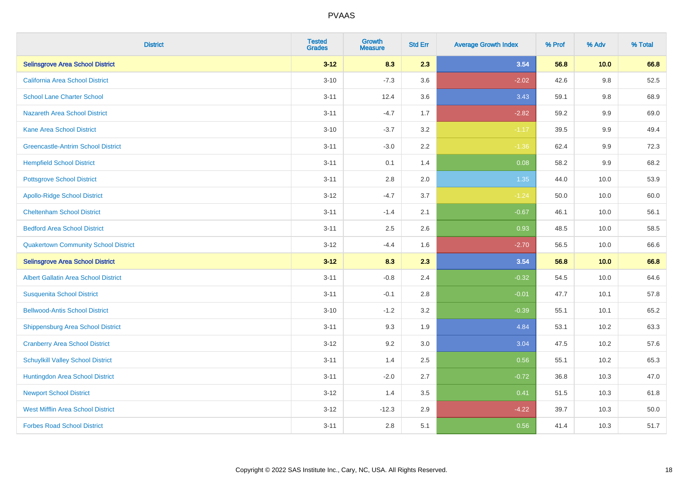| <b>District</b>                             | <b>Tested</b><br><b>Grades</b> | <b>Growth</b><br><b>Measure</b> | <b>Std Err</b> | <b>Average Growth Index</b> | % Prof | % Adv   | % Total |
|---------------------------------------------|--------------------------------|---------------------------------|----------------|-----------------------------|--------|---------|---------|
| <b>Selinsgrove Area School District</b>     | $3 - 12$                       | 8.3                             | 2.3            | 3.54                        | 56.8   | 10.0    | 66.8    |
| California Area School District             | $3 - 10$                       | $-7.3$                          | 3.6            | $-2.02$                     | 42.6   | $9.8\,$ | 52.5    |
| <b>School Lane Charter School</b>           | $3 - 11$                       | 12.4                            | 3.6            | 3.43                        | 59.1   | 9.8     | 68.9    |
| <b>Nazareth Area School District</b>        | $3 - 11$                       | $-4.7$                          | 1.7            | $-2.82$                     | 59.2   | $9.9\,$ | 69.0    |
| <b>Kane Area School District</b>            | $3 - 10$                       | $-3.7$                          | 3.2            | $-1.17$                     | 39.5   | 9.9     | 49.4    |
| <b>Greencastle-Antrim School District</b>   | $3 - 11$                       | $-3.0$                          | 2.2            | $-1.36$                     | 62.4   | 9.9     | 72.3    |
| <b>Hempfield School District</b>            | $3 - 11$                       | 0.1                             | 1.4            | 0.08                        | 58.2   | 9.9     | 68.2    |
| <b>Pottsgrove School District</b>           | $3 - 11$                       | 2.8                             | 2.0            | 1.35                        | 44.0   | 10.0    | 53.9    |
| <b>Apollo-Ridge School District</b>         | $3 - 12$                       | $-4.7$                          | 3.7            | $-1.24$                     | 50.0   | 10.0    | 60.0    |
| <b>Cheltenham School District</b>           | $3 - 11$                       | $-1.4$                          | 2.1            | $-0.67$                     | 46.1   | 10.0    | 56.1    |
| <b>Bedford Area School District</b>         | $3 - 11$                       | 2.5                             | 2.6            | 0.93                        | 48.5   | 10.0    | 58.5    |
| <b>Quakertown Community School District</b> | $3 - 12$                       | $-4.4$                          | 1.6            | $-2.70$                     | 56.5   | 10.0    | 66.6    |
| <b>Selinsgrove Area School District</b>     | $3 - 12$                       | 8.3                             | 2.3            | 3.54                        | 56.8   | 10.0    | 66.8    |
| <b>Albert Gallatin Area School District</b> | $3 - 11$                       | $-0.8$                          | 2.4            | $-0.32$                     | 54.5   | 10.0    | 64.6    |
| <b>Susquenita School District</b>           | $3 - 11$                       | $-0.1$                          | 2.8            | $-0.01$                     | 47.7   | 10.1    | 57.8    |
| <b>Bellwood-Antis School District</b>       | $3 - 10$                       | $-1.2$                          | 3.2            | $-0.39$                     | 55.1   | 10.1    | 65.2    |
| <b>Shippensburg Area School District</b>    | $3 - 11$                       | 9.3                             | 1.9            | 4.84                        | 53.1   | 10.2    | 63.3    |
| <b>Cranberry Area School District</b>       | $3 - 12$                       | 9.2                             | 3.0            | 3.04                        | 47.5   | 10.2    | 57.6    |
| <b>Schuylkill Valley School District</b>    | $3 - 11$                       | 1.4                             | 2.5            | 0.56                        | 55.1   | 10.2    | 65.3    |
| Huntingdon Area School District             | $3 - 11$                       | $-2.0$                          | 2.7            | $-0.72$                     | 36.8   | 10.3    | 47.0    |
| <b>Newport School District</b>              | $3 - 12$                       | 1.4                             | 3.5            | 0.41                        | 51.5   | 10.3    | 61.8    |
| <b>West Mifflin Area School District</b>    | $3 - 12$                       | $-12.3$                         | 2.9            | $-4.22$                     | 39.7   | 10.3    | 50.0    |
| <b>Forbes Road School District</b>          | $3 - 11$                       | 2.8                             | 5.1            | 0.56                        | 41.4   | 10.3    | 51.7    |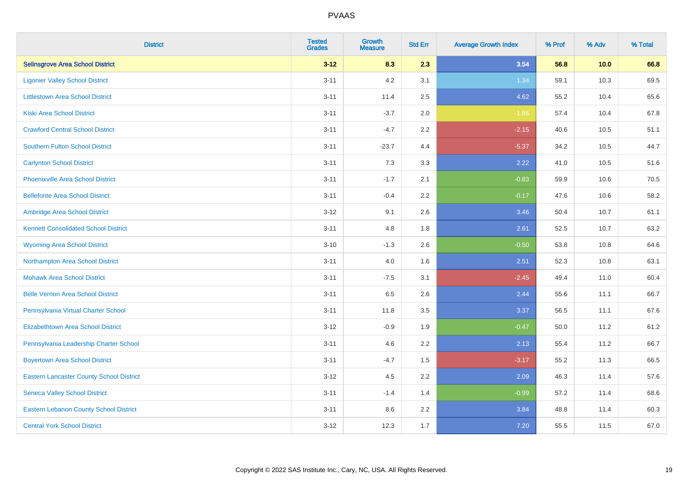| <b>District</b>                                 | <b>Tested</b><br><b>Grades</b> | <b>Growth</b><br><b>Measure</b> | <b>Std Err</b> | <b>Average Growth Index</b> | % Prof | % Adv | % Total |
|-------------------------------------------------|--------------------------------|---------------------------------|----------------|-----------------------------|--------|-------|---------|
| <b>Selinsgrove Area School District</b>         | $3 - 12$                       | 8.3                             | 2.3            | 3.54                        | 56.8   | 10.0  | 66.8    |
| <b>Ligonier Valley School District</b>          | $3 - 11$                       | 4.2                             | 3.1            | 1.34                        | 59.1   | 10.3  | 69.5    |
| <b>Littlestown Area School District</b>         | $3 - 11$                       | 11.4                            | 2.5            | 4.62                        | 55.2   | 10.4  | 65.6    |
| <b>Kiski Area School District</b>               | $3 - 11$                       | $-3.7$                          | 2.0            | $-1.86$                     | 57.4   | 10.4  | 67.8    |
| <b>Crawford Central School District</b>         | $3 - 11$                       | $-4.7$                          | 2.2            | $-2.15$                     | 40.6   | 10.5  | 51.1    |
| <b>Southern Fulton School District</b>          | $3 - 11$                       | $-23.7$                         | 4.4            | $-5.37$                     | 34.2   | 10.5  | 44.7    |
| <b>Carlynton School District</b>                | $3 - 11$                       | 7.3                             | 3.3            | 2.22                        | 41.0   | 10.5  | 51.6    |
| <b>Phoenixville Area School District</b>        | $3 - 11$                       | $-1.7$                          | 2.1            | $-0.83$                     | 59.9   | 10.6  | 70.5    |
| <b>Bellefonte Area School District</b>          | $3 - 11$                       | $-0.4$                          | 2.2            | $-0.17$                     | 47.6   | 10.6  | 58.2    |
| Ambridge Area School District                   | $3 - 12$                       | 9.1                             | 2.6            | 3.46                        | 50.4   | 10.7  | 61.1    |
| <b>Kennett Consolidated School District</b>     | $3 - 11$                       | 4.8                             | 1.8            | 2.61                        | 52.5   | 10.7  | 63.2    |
| <b>Wyoming Area School District</b>             | $3 - 10$                       | $-1.3$                          | 2.6            | $-0.50$                     | 53.8   | 10.8  | 64.6    |
| Northampton Area School District                | $3 - 11$                       | 4.0                             | 1.6            | 2.51                        | 52.3   | 10.8  | 63.1    |
| <b>Mohawk Area School District</b>              | $3 - 11$                       | $-7.5$                          | 3.1            | $-2.45$                     | 49.4   | 11.0  | 60.4    |
| <b>Belle Vernon Area School District</b>        | $3 - 11$                       | 6.5                             | 2.6            | 2.44                        | 55.6   | 11.1  | 66.7    |
| Pennsylvania Virtual Charter School             | $3 - 11$                       | 11.8                            | 3.5            | 3.37                        | 56.5   | 11.1  | 67.6    |
| <b>Elizabethtown Area School District</b>       | $3 - 12$                       | $-0.9$                          | 1.9            | $-0.47$                     | 50.0   | 11.2  | 61.2    |
| Pennsylvania Leadership Charter School          | $3 - 11$                       | 4.6                             | 2.2            | 2.13                        | 55.4   | 11.2  | 66.7    |
| <b>Boyertown Area School District</b>           | $3 - 11$                       | $-4.7$                          | 1.5            | $-3.17$                     | 55.2   | 11.3  | 66.5    |
| <b>Eastern Lancaster County School District</b> | $3-12$                         | 4.5                             | 2.2            | 2.09                        | 46.3   | 11.4  | 57.6    |
| <b>Seneca Valley School District</b>            | $3 - 11$                       | $-1.4$                          | 1.4            | $-0.99$                     | 57.2   | 11.4  | 68.6    |
| <b>Eastern Lebanon County School District</b>   | $3 - 11$                       | 8.6                             | 2.2            | 3.84                        | 48.8   | 11.4  | 60.3    |
| <b>Central York School District</b>             | $3 - 12$                       | 12.3                            | 1.7            | 7.20                        | 55.5   | 11.5  | 67.0    |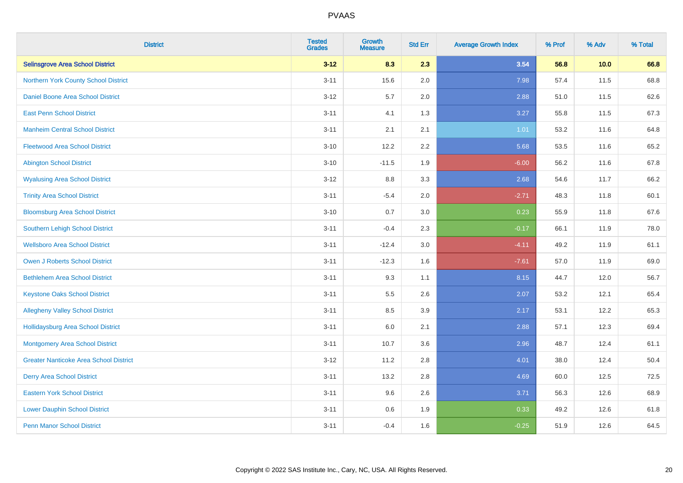| <b>District</b>                               | <b>Tested</b><br><b>Grades</b> | <b>Growth</b><br><b>Measure</b> | <b>Std Err</b> | <b>Average Growth Index</b> | % Prof | % Adv | % Total |
|-----------------------------------------------|--------------------------------|---------------------------------|----------------|-----------------------------|--------|-------|---------|
| <b>Selinsgrove Area School District</b>       | $3 - 12$                       | 8.3                             | 2.3            | 3.54                        | 56.8   | 10.0  | 66.8    |
| Northern York County School District          | $3 - 11$                       | 15.6                            | 2.0            | 7.98                        | 57.4   | 11.5  | 68.8    |
| Daniel Boone Area School District             | $3 - 12$                       | 5.7                             | 2.0            | 2.88                        | 51.0   | 11.5  | 62.6    |
| <b>East Penn School District</b>              | $3 - 11$                       | 4.1                             | 1.3            | 3.27                        | 55.8   | 11.5  | 67.3    |
| <b>Manheim Central School District</b>        | $3 - 11$                       | 2.1                             | 2.1            | 1.01                        | 53.2   | 11.6  | 64.8    |
| <b>Fleetwood Area School District</b>         | $3 - 10$                       | 12.2                            | 2.2            | 5.68                        | 53.5   | 11.6  | 65.2    |
| <b>Abington School District</b>               | $3 - 10$                       | $-11.5$                         | 1.9            | $-6.00$                     | 56.2   | 11.6  | 67.8    |
| <b>Wyalusing Area School District</b>         | $3 - 12$                       | $8.8\,$                         | 3.3            | 2.68                        | 54.6   | 11.7  | 66.2    |
| <b>Trinity Area School District</b>           | $3 - 11$                       | $-5.4$                          | 2.0            | $-2.71$                     | 48.3   | 11.8  | 60.1    |
| <b>Bloomsburg Area School District</b>        | $3 - 10$                       | 0.7                             | 3.0            | 0.23                        | 55.9   | 11.8  | 67.6    |
| Southern Lehigh School District               | $3 - 11$                       | $-0.4$                          | 2.3            | $-0.17$                     | 66.1   | 11.9  | 78.0    |
| <b>Wellsboro Area School District</b>         | $3 - 11$                       | $-12.4$                         | 3.0            | $-4.11$                     | 49.2   | 11.9  | 61.1    |
| Owen J Roberts School District                | $3 - 11$                       | $-12.3$                         | 1.6            | $-7.61$                     | 57.0   | 11.9  | 69.0    |
| <b>Bethlehem Area School District</b>         | $3 - 11$                       | 9.3                             | 1.1            | 8.15                        | 44.7   | 12.0  | 56.7    |
| <b>Keystone Oaks School District</b>          | $3 - 11$                       | $5.5\,$                         | 2.6            | 2.07                        | 53.2   | 12.1  | 65.4    |
| <b>Allegheny Valley School District</b>       | $3 - 11$                       | 8.5                             | 3.9            | 2.17                        | 53.1   | 12.2  | 65.3    |
| <b>Hollidaysburg Area School District</b>     | $3 - 11$                       | 6.0                             | 2.1            | 2.88                        | 57.1   | 12.3  | 69.4    |
| <b>Montgomery Area School District</b>        | $3 - 11$                       | 10.7                            | 3.6            | 2.96                        | 48.7   | 12.4  | 61.1    |
| <b>Greater Nanticoke Area School District</b> | $3 - 12$                       | 11.2                            | 2.8            | 4.01                        | 38.0   | 12.4  | 50.4    |
| <b>Derry Area School District</b>             | $3 - 11$                       | 13.2                            | 2.8            | 4.69                        | 60.0   | 12.5  | 72.5    |
| <b>Eastern York School District</b>           | $3 - 11$                       | 9.6                             | 2.6            | 3.71                        | 56.3   | 12.6  | 68.9    |
| <b>Lower Dauphin School District</b>          | $3 - 11$                       | $0.6\,$                         | 1.9            | 0.33                        | 49.2   | 12.6  | 61.8    |
| <b>Penn Manor School District</b>             | $3 - 11$                       | $-0.4$                          | 1.6            | $-0.25$                     | 51.9   | 12.6  | 64.5    |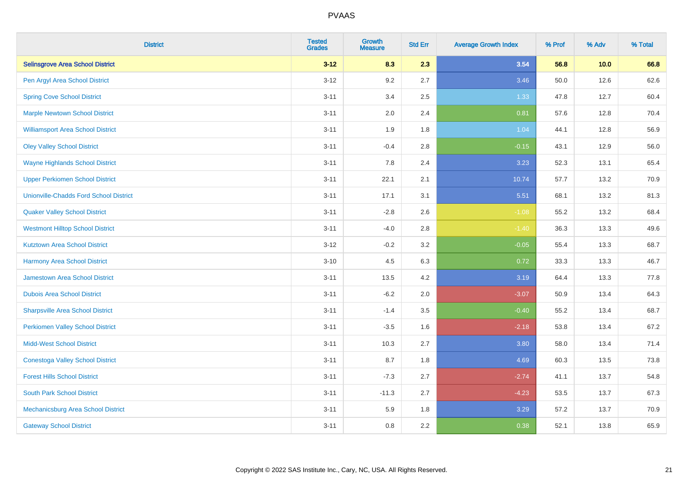| <b>District</b>                               | <b>Tested</b><br><b>Grades</b> | Growth<br><b>Measure</b> | <b>Std Err</b> | <b>Average Growth Index</b> | % Prof | % Adv | % Total |
|-----------------------------------------------|--------------------------------|--------------------------|----------------|-----------------------------|--------|-------|---------|
| <b>Selinsgrove Area School District</b>       | $3 - 12$                       | 8.3                      | 2.3            | 3.54                        | 56.8   | 10.0  | 66.8    |
| Pen Argyl Area School District                | $3 - 12$                       | 9.2                      | 2.7            | 3.46                        | 50.0   | 12.6  | 62.6    |
| <b>Spring Cove School District</b>            | $3 - 11$                       | 3.4                      | 2.5            | 1.33                        | 47.8   | 12.7  | 60.4    |
| <b>Marple Newtown School District</b>         | $3 - 11$                       | 2.0                      | 2.4            | 0.81                        | 57.6   | 12.8  | 70.4    |
| <b>Williamsport Area School District</b>      | $3 - 11$                       | 1.9                      | 1.8            | 1.04                        | 44.1   | 12.8  | 56.9    |
| <b>Oley Valley School District</b>            | $3 - 11$                       | $-0.4$                   | 2.8            | $-0.15$                     | 43.1   | 12.9  | 56.0    |
| <b>Wayne Highlands School District</b>        | $3 - 11$                       | 7.8                      | 2.4            | 3.23                        | 52.3   | 13.1  | 65.4    |
| <b>Upper Perkiomen School District</b>        | $3 - 11$                       | 22.1                     | 2.1            | 10.74                       | 57.7   | 13.2  | 70.9    |
| <b>Unionville-Chadds Ford School District</b> | $3 - 11$                       | 17.1                     | 3.1            | 5.51                        | 68.1   | 13.2  | 81.3    |
| <b>Quaker Valley School District</b>          | $3 - 11$                       | $-2.8$                   | 2.6            | $-1.08$                     | 55.2   | 13.2  | 68.4    |
| <b>Westmont Hilltop School District</b>       | $3 - 11$                       | $-4.0$                   | 2.8            | $-1.40$                     | 36.3   | 13.3  | 49.6    |
| <b>Kutztown Area School District</b>          | $3 - 12$                       | $-0.2$                   | 3.2            | $-0.05$                     | 55.4   | 13.3  | 68.7    |
| <b>Harmony Area School District</b>           | $3 - 10$                       | 4.5                      | 6.3            | 0.72                        | 33.3   | 13.3  | 46.7    |
| <b>Jamestown Area School District</b>         | $3 - 11$                       | 13.5                     | 4.2            | 3.19                        | 64.4   | 13.3  | 77.8    |
| <b>Dubois Area School District</b>            | $3 - 11$                       | $-6.2$                   | 2.0            | $-3.07$                     | 50.9   | 13.4  | 64.3    |
| <b>Sharpsville Area School District</b>       | $3 - 11$                       | $-1.4$                   | 3.5            | $-0.40$                     | 55.2   | 13.4  | 68.7    |
| <b>Perkiomen Valley School District</b>       | $3 - 11$                       | $-3.5$                   | 1.6            | $-2.18$                     | 53.8   | 13.4  | 67.2    |
| <b>Midd-West School District</b>              | $3 - 11$                       | 10.3                     | 2.7            | 3.80                        | 58.0   | 13.4  | 71.4    |
| <b>Conestoga Valley School District</b>       | $3 - 11$                       | 8.7                      | 1.8            | 4.69                        | 60.3   | 13.5  | 73.8    |
| <b>Forest Hills School District</b>           | $3 - 11$                       | $-7.3$                   | 2.7            | $-2.74$                     | 41.1   | 13.7  | 54.8    |
| <b>South Park School District</b>             | $3 - 11$                       | $-11.3$                  | 2.7            | $-4.23$                     | 53.5   | 13.7  | 67.3    |
| Mechanicsburg Area School District            | $3 - 11$                       | 5.9                      | 1.8            | 3.29                        | 57.2   | 13.7  | 70.9    |
| <b>Gateway School District</b>                | $3 - 11$                       | 0.8                      | 2.2            | 0.38                        | 52.1   | 13.8  | 65.9    |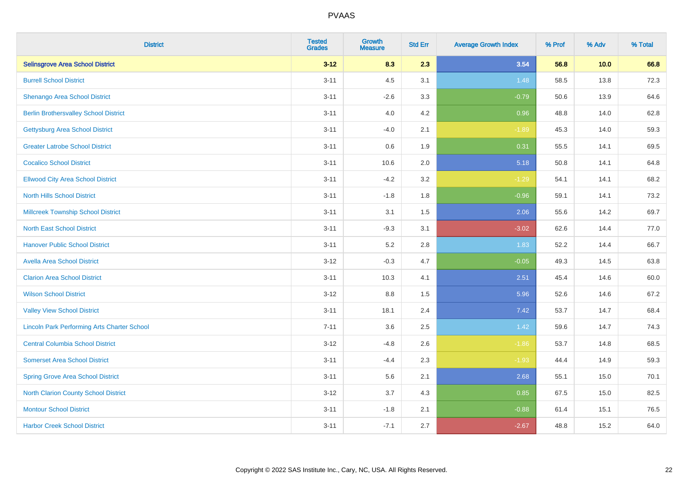| <b>District</b>                                    | <b>Tested</b><br><b>Grades</b> | <b>Growth</b><br><b>Measure</b> | <b>Std Err</b> | <b>Average Growth Index</b> | % Prof | % Adv | % Total |
|----------------------------------------------------|--------------------------------|---------------------------------|----------------|-----------------------------|--------|-------|---------|
| <b>Selinsgrove Area School District</b>            | $3 - 12$                       | 8.3                             | 2.3            | 3.54                        | 56.8   | 10.0  | 66.8    |
| <b>Burrell School District</b>                     | $3 - 11$                       | 4.5                             | 3.1            | 1.48                        | 58.5   | 13.8  | 72.3    |
| Shenango Area School District                      | $3 - 11$                       | $-2.6$                          | 3.3            | $-0.79$                     | 50.6   | 13.9  | 64.6    |
| <b>Berlin Brothersvalley School District</b>       | $3 - 11$                       | 4.0                             | 4.2            | 0.96                        | 48.8   | 14.0  | 62.8    |
| <b>Gettysburg Area School District</b>             | $3 - 11$                       | $-4.0$                          | 2.1            | $-1.89$                     | 45.3   | 14.0  | 59.3    |
| <b>Greater Latrobe School District</b>             | $3 - 11$                       | 0.6                             | 1.9            | 0.31                        | 55.5   | 14.1  | 69.5    |
| <b>Cocalico School District</b>                    | $3 - 11$                       | 10.6                            | 2.0            | 5.18                        | 50.8   | 14.1  | 64.8    |
| <b>Ellwood City Area School District</b>           | $3 - 11$                       | $-4.2$                          | 3.2            | $-1.29$                     | 54.1   | 14.1  | 68.2    |
| <b>North Hills School District</b>                 | $3 - 11$                       | $-1.8$                          | 1.8            | $-0.96$                     | 59.1   | 14.1  | 73.2    |
| <b>Millcreek Township School District</b>          | $3 - 11$                       | 3.1                             | 1.5            | 2.06                        | 55.6   | 14.2  | 69.7    |
| <b>North East School District</b>                  | $3 - 11$                       | $-9.3$                          | 3.1            | $-3.02$                     | 62.6   | 14.4  | 77.0    |
| <b>Hanover Public School District</b>              | $3 - 11$                       | 5.2                             | 2.8            | 1.83                        | 52.2   | 14.4  | 66.7    |
| <b>Avella Area School District</b>                 | $3 - 12$                       | $-0.3$                          | 4.7            | $-0.05$                     | 49.3   | 14.5  | 63.8    |
| <b>Clarion Area School District</b>                | $3 - 11$                       | 10.3                            | 4.1            | 2.51                        | 45.4   | 14.6  | 60.0    |
| <b>Wilson School District</b>                      | $3 - 12$                       | $8.8\,$                         | 1.5            | 5.96                        | 52.6   | 14.6  | 67.2    |
| <b>Valley View School District</b>                 | $3 - 11$                       | 18.1                            | 2.4            | 7.42                        | 53.7   | 14.7  | 68.4    |
| <b>Lincoln Park Performing Arts Charter School</b> | $7 - 11$                       | 3.6                             | 2.5            | 1.42                        | 59.6   | 14.7  | 74.3    |
| <b>Central Columbia School District</b>            | $3 - 12$                       | $-4.8$                          | 2.6            | $-1.86$                     | 53.7   | 14.8  | 68.5    |
| <b>Somerset Area School District</b>               | $3 - 11$                       | $-4.4$                          | 2.3            | $-1.93$                     | 44.4   | 14.9  | 59.3    |
| <b>Spring Grove Area School District</b>           | $3 - 11$                       | 5.6                             | 2.1            | 2.68                        | 55.1   | 15.0  | 70.1    |
| <b>North Clarion County School District</b>        | $3 - 12$                       | 3.7                             | 4.3            | 0.85                        | 67.5   | 15.0  | 82.5    |
| <b>Montour School District</b>                     | $3 - 11$                       | $-1.8$                          | 2.1            | $-0.88$                     | 61.4   | 15.1  | 76.5    |
| <b>Harbor Creek School District</b>                | $3 - 11$                       | $-7.1$                          | 2.7            | $-2.67$                     | 48.8   | 15.2  | 64.0    |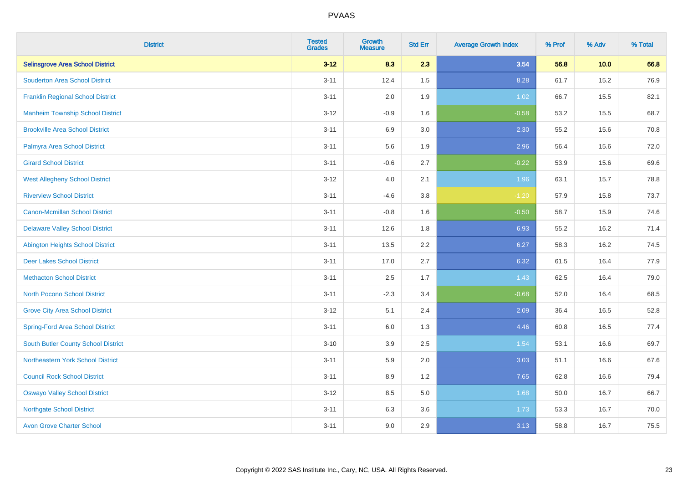| <b>District</b>                            | <b>Tested</b><br><b>Grades</b> | <b>Growth</b><br><b>Measure</b> | <b>Std Err</b> | <b>Average Growth Index</b> | % Prof | % Adv | % Total |
|--------------------------------------------|--------------------------------|---------------------------------|----------------|-----------------------------|--------|-------|---------|
| <b>Selinsgrove Area School District</b>    | $3 - 12$                       | 8.3                             | 2.3            | 3.54                        | 56.8   | 10.0  | 66.8    |
| <b>Souderton Area School District</b>      | $3 - 11$                       | 12.4                            | 1.5            | 8.28                        | 61.7   | 15.2  | 76.9    |
| <b>Franklin Regional School District</b>   | $3 - 11$                       | 2.0                             | 1.9            | 1.02                        | 66.7   | 15.5  | 82.1    |
| <b>Manheim Township School District</b>    | $3 - 12$                       | $-0.9$                          | 1.6            | $-0.58$                     | 53.2   | 15.5  | 68.7    |
| <b>Brookville Area School District</b>     | $3 - 11$                       | 6.9                             | 3.0            | 2.30                        | 55.2   | 15.6  | 70.8    |
| Palmyra Area School District               | $3 - 11$                       | 5.6                             | 1.9            | 2.96                        | 56.4   | 15.6  | 72.0    |
| <b>Girard School District</b>              | $3 - 11$                       | $-0.6$                          | 2.7            | $-0.22$                     | 53.9   | 15.6  | 69.6    |
| <b>West Allegheny School District</b>      | $3 - 12$                       | 4.0                             | 2.1            | 1.96                        | 63.1   | 15.7  | 78.8    |
| <b>Riverview School District</b>           | $3 - 11$                       | $-4.6$                          | 3.8            | $-1.20$                     | 57.9   | 15.8  | 73.7    |
| <b>Canon-Mcmillan School District</b>      | $3 - 11$                       | $-0.8$                          | 1.6            | $-0.50$                     | 58.7   | 15.9  | 74.6    |
| <b>Delaware Valley School District</b>     | $3 - 11$                       | 12.6                            | 1.8            | 6.93                        | 55.2   | 16.2  | 71.4    |
| <b>Abington Heights School District</b>    | $3 - 11$                       | 13.5                            | 2.2            | 6.27                        | 58.3   | 16.2  | 74.5    |
| <b>Deer Lakes School District</b>          | $3 - 11$                       | 17.0                            | 2.7            | 6.32                        | 61.5   | 16.4  | 77.9    |
| <b>Methacton School District</b>           | $3 - 11$                       | 2.5                             | 1.7            | 1.43                        | 62.5   | 16.4  | 79.0    |
| <b>North Pocono School District</b>        | $3 - 11$                       | $-2.3$                          | 3.4            | $-0.68$                     | 52.0   | 16.4  | 68.5    |
| <b>Grove City Area School District</b>     | $3 - 12$                       | 5.1                             | 2.4            | 2.09                        | 36.4   | 16.5  | 52.8    |
| <b>Spring-Ford Area School District</b>    | $3 - 11$                       | 6.0                             | 1.3            | 4.46                        | 60.8   | 16.5  | 77.4    |
| <b>South Butler County School District</b> | $3 - 10$                       | 3.9                             | 2.5            | 1.54                        | 53.1   | 16.6  | 69.7    |
| <b>Northeastern York School District</b>   | $3 - 11$                       | 5.9                             | 2.0            | 3.03                        | 51.1   | 16.6  | 67.6    |
| <b>Council Rock School District</b>        | $3 - 11$                       | 8.9                             | 1.2            | 7.65                        | 62.8   | 16.6  | 79.4    |
| <b>Oswayo Valley School District</b>       | $3 - 12$                       | 8.5                             | 5.0            | 1.68                        | 50.0   | 16.7  | 66.7    |
| <b>Northgate School District</b>           | $3 - 11$                       | 6.3                             | 3.6            | 1.73                        | 53.3   | 16.7  | 70.0    |
| <b>Avon Grove Charter School</b>           | $3 - 11$                       | 9.0                             | 2.9            | 3.13                        | 58.8   | 16.7  | 75.5    |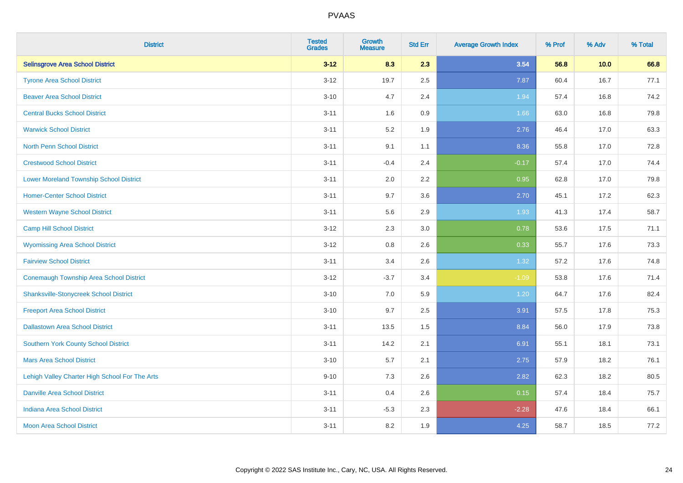| <b>District</b>                                | <b>Tested</b><br><b>Grades</b> | <b>Growth</b><br><b>Measure</b> | <b>Std Err</b> | <b>Average Growth Index</b> | % Prof | % Adv | % Total |
|------------------------------------------------|--------------------------------|---------------------------------|----------------|-----------------------------|--------|-------|---------|
| <b>Selinsgrove Area School District</b>        | $3 - 12$                       | 8.3                             | 2.3            | 3.54                        | 56.8   | 10.0  | 66.8    |
| <b>Tyrone Area School District</b>             | $3 - 12$                       | 19.7                            | 2.5            | 7.87                        | 60.4   | 16.7  | 77.1    |
| <b>Beaver Area School District</b>             | $3 - 10$                       | 4.7                             | 2.4            | 1.94                        | 57.4   | 16.8  | 74.2    |
| <b>Central Bucks School District</b>           | $3 - 11$                       | 1.6                             | $0.9\,$        | 1.66                        | 63.0   | 16.8  | 79.8    |
| <b>Warwick School District</b>                 | $3 - 11$                       | 5.2                             | 1.9            | 2.76                        | 46.4   | 17.0  | 63.3    |
| <b>North Penn School District</b>              | $3 - 11$                       | 9.1                             | 1.1            | 8.36                        | 55.8   | 17.0  | 72.8    |
| <b>Crestwood School District</b>               | $3 - 11$                       | $-0.4$                          | 2.4            | $-0.17$                     | 57.4   | 17.0  | 74.4    |
| <b>Lower Moreland Township School District</b> | $3 - 11$                       | 2.0                             | 2.2            | 0.95                        | 62.8   | 17.0  | 79.8    |
| <b>Homer-Center School District</b>            | $3 - 11$                       | 9.7                             | 3.6            | 2.70                        | 45.1   | 17.2  | 62.3    |
| <b>Western Wayne School District</b>           | $3 - 11$                       | 5.6                             | 2.9            | 1.93                        | 41.3   | 17.4  | 58.7    |
| <b>Camp Hill School District</b>               | $3 - 12$                       | 2.3                             | 3.0            | 0.78                        | 53.6   | 17.5  | 71.1    |
| <b>Wyomissing Area School District</b>         | $3 - 12$                       | 0.8                             | 2.6            | 0.33                        | 55.7   | 17.6  | 73.3    |
| <b>Fairview School District</b>                | $3 - 11$                       | 3.4                             | 2.6            | 1.32                        | 57.2   | 17.6  | 74.8    |
| <b>Conemaugh Township Area School District</b> | $3-12$                         | $-3.7$                          | 3.4            | $-1.09$                     | 53.8   | 17.6  | 71.4    |
| <b>Shanksville-Stonycreek School District</b>  | $3 - 10$                       | 7.0                             | 5.9            | 1.20                        | 64.7   | 17.6  | 82.4    |
| <b>Freeport Area School District</b>           | $3 - 10$                       | 9.7                             | 2.5            | 3.91                        | 57.5   | 17.8  | 75.3    |
| <b>Dallastown Area School District</b>         | $3 - 11$                       | 13.5                            | 1.5            | 8.84                        | 56.0   | 17.9  | 73.8    |
| Southern York County School District           | $3 - 11$                       | 14.2                            | 2.1            | 6.91                        | 55.1   | 18.1  | 73.1    |
| <b>Mars Area School District</b>               | $3 - 10$                       | 5.7                             | 2.1            | 2.75                        | 57.9   | 18.2  | 76.1    |
| Lehigh Valley Charter High School For The Arts | $9 - 10$                       | 7.3                             | 2.6            | 2.82                        | 62.3   | 18.2  | 80.5    |
| <b>Danville Area School District</b>           | $3 - 11$                       | 0.4                             | 2.6            | 0.15                        | 57.4   | 18.4  | 75.7    |
| <b>Indiana Area School District</b>            | $3 - 11$                       | $-5.3$                          | 2.3            | $-2.28$                     | 47.6   | 18.4  | 66.1    |
| <b>Moon Area School District</b>               | $3 - 11$                       | 8.2                             | 1.9            | 4.25                        | 58.7   | 18.5  | 77.2    |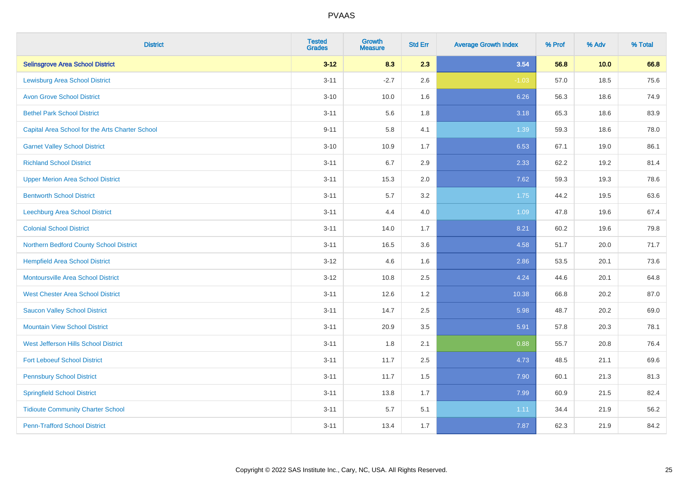| <b>District</b>                                 | <b>Tested</b><br><b>Grades</b> | <b>Growth</b><br><b>Measure</b> | <b>Std Err</b> | <b>Average Growth Index</b> | % Prof | % Adv | % Total |
|-------------------------------------------------|--------------------------------|---------------------------------|----------------|-----------------------------|--------|-------|---------|
| <b>Selinsgrove Area School District</b>         | $3 - 12$                       | 8.3                             | 2.3            | 3.54                        | 56.8   | 10.0  | 66.8    |
| <b>Lewisburg Area School District</b>           | $3 - 11$                       | $-2.7$                          | 2.6            | $-1.03$                     | 57.0   | 18.5  | 75.6    |
| <b>Avon Grove School District</b>               | $3 - 10$                       | 10.0                            | 1.6            | 6.26                        | 56.3   | 18.6  | 74.9    |
| <b>Bethel Park School District</b>              | $3 - 11$                       | 5.6                             | 1.8            | 3.18                        | 65.3   | 18.6  | 83.9    |
| Capital Area School for the Arts Charter School | $9 - 11$                       | 5.8                             | 4.1            | 1.39                        | 59.3   | 18.6  | 78.0    |
| <b>Garnet Valley School District</b>            | $3 - 10$                       | 10.9                            | 1.7            | 6.53                        | 67.1   | 19.0  | 86.1    |
| <b>Richland School District</b>                 | $3 - 11$                       | 6.7                             | 2.9            | 2.33                        | 62.2   | 19.2  | 81.4    |
| <b>Upper Merion Area School District</b>        | $3 - 11$                       | 15.3                            | 2.0            | 7.62                        | 59.3   | 19.3  | 78.6    |
| <b>Bentworth School District</b>                | $3 - 11$                       | 5.7                             | 3.2            | 1.75                        | 44.2   | 19.5  | 63.6    |
| <b>Leechburg Area School District</b>           | $3 - 11$                       | 4.4                             | 4.0            | 1.09                        | 47.8   | 19.6  | 67.4    |
| <b>Colonial School District</b>                 | $3 - 11$                       | 14.0                            | 1.7            | 8.21                        | 60.2   | 19.6  | 79.8    |
| Northern Bedford County School District         | $3 - 11$                       | 16.5                            | 3.6            | 4.58                        | 51.7   | 20.0  | 71.7    |
| <b>Hempfield Area School District</b>           | $3 - 12$                       | 4.6                             | 1.6            | 2.86                        | 53.5   | 20.1  | 73.6    |
| <b>Montoursville Area School District</b>       | $3 - 12$                       | 10.8                            | 2.5            | 4.24                        | 44.6   | 20.1  | 64.8    |
| <b>West Chester Area School District</b>        | $3 - 11$                       | 12.6                            | 1.2            | 10.38                       | 66.8   | 20.2  | 87.0    |
| <b>Saucon Valley School District</b>            | $3 - 11$                       | 14.7                            | 2.5            | 5.98                        | 48.7   | 20.2  | 69.0    |
| <b>Mountain View School District</b>            | $3 - 11$                       | 20.9                            | 3.5            | 5.91                        | 57.8   | 20.3  | 78.1    |
| West Jefferson Hills School District            | $3 - 11$                       | 1.8                             | 2.1            | 0.88                        | 55.7   | 20.8  | 76.4    |
| <b>Fort Leboeuf School District</b>             | $3 - 11$                       | 11.7                            | 2.5            | 4.73                        | 48.5   | 21.1  | 69.6    |
| <b>Pennsbury School District</b>                | $3 - 11$                       | 11.7                            | 1.5            | 7.90                        | 60.1   | 21.3  | 81.3    |
| <b>Springfield School District</b>              | $3 - 11$                       | 13.8                            | 1.7            | 7.99                        | 60.9   | 21.5  | 82.4    |
| <b>Tidioute Community Charter School</b>        | $3 - 11$                       | 5.7                             | 5.1            | 1.11                        | 34.4   | 21.9  | 56.2    |
| <b>Penn-Trafford School District</b>            | $3 - 11$                       | 13.4                            | 1.7            | 7.87                        | 62.3   | 21.9  | 84.2    |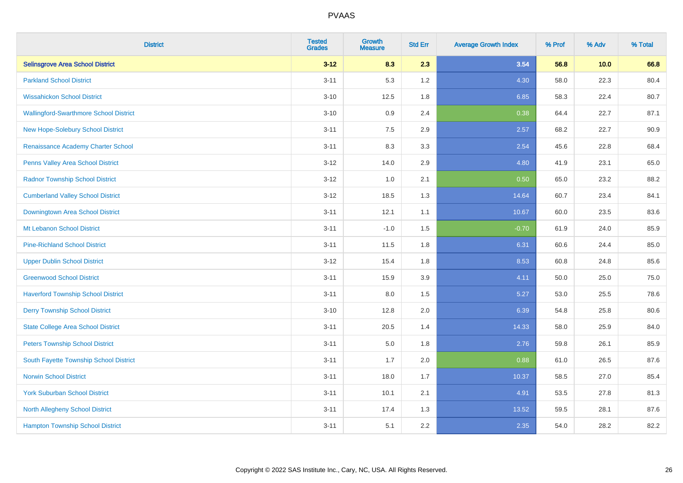| <b>District</b>                               | <b>Tested</b><br><b>Grades</b> | <b>Growth</b><br><b>Measure</b> | <b>Std Err</b> | <b>Average Growth Index</b> | % Prof | % Adv | % Total |
|-----------------------------------------------|--------------------------------|---------------------------------|----------------|-----------------------------|--------|-------|---------|
| <b>Selinsgrove Area School District</b>       | $3 - 12$                       | 8.3                             | 2.3            | 3.54                        | 56.8   | 10.0  | 66.8    |
| <b>Parkland School District</b>               | $3 - 11$                       | 5.3                             | 1.2            | 4.30                        | 58.0   | 22.3  | 80.4    |
| <b>Wissahickon School District</b>            | $3 - 10$                       | 12.5                            | 1.8            | 6.85                        | 58.3   | 22.4  | 80.7    |
| <b>Wallingford-Swarthmore School District</b> | $3 - 10$                       | 0.9                             | 2.4            | 0.38                        | 64.4   | 22.7  | 87.1    |
| New Hope-Solebury School District             | $3 - 11$                       | 7.5                             | 2.9            | 2.57                        | 68.2   | 22.7  | 90.9    |
| Renaissance Academy Charter School            | $3 - 11$                       | 8.3                             | 3.3            | 2.54                        | 45.6   | 22.8  | 68.4    |
| <b>Penns Valley Area School District</b>      | $3 - 12$                       | 14.0                            | 2.9            | 4.80                        | 41.9   | 23.1  | 65.0    |
| <b>Radnor Township School District</b>        | $3 - 12$                       | 1.0                             | 2.1            | 0.50                        | 65.0   | 23.2  | 88.2    |
| <b>Cumberland Valley School District</b>      | $3 - 12$                       | 18.5                            | 1.3            | 14.64                       | 60.7   | 23.4  | 84.1    |
| Downingtown Area School District              | $3 - 11$                       | 12.1                            | 1.1            | 10.67                       | 60.0   | 23.5  | 83.6    |
| Mt Lebanon School District                    | $3 - 11$                       | $-1.0$                          | 1.5            | $-0.70$                     | 61.9   | 24.0  | 85.9    |
| <b>Pine-Richland School District</b>          | $3 - 11$                       | 11.5                            | 1.8            | 6.31                        | 60.6   | 24.4  | 85.0    |
| <b>Upper Dublin School District</b>           | $3 - 12$                       | 15.4                            | 1.8            | 8.53                        | 60.8   | 24.8  | 85.6    |
| <b>Greenwood School District</b>              | $3 - 11$                       | 15.9                            | 3.9            | 4.11                        | 50.0   | 25.0  | 75.0    |
| <b>Haverford Township School District</b>     | $3 - 11$                       | 8.0                             | 1.5            | 5.27                        | 53.0   | 25.5  | 78.6    |
| <b>Derry Township School District</b>         | $3 - 10$                       | 12.8                            | 2.0            | 6.39                        | 54.8   | 25.8  | 80.6    |
| <b>State College Area School District</b>     | $3 - 11$                       | 20.5                            | 1.4            | 14.33                       | 58.0   | 25.9  | 84.0    |
| <b>Peters Township School District</b>        | $3 - 11$                       | 5.0                             | 1.8            | 2.76                        | 59.8   | 26.1  | 85.9    |
| South Fayette Township School District        | $3 - 11$                       | 1.7                             | 2.0            | 0.88                        | 61.0   | 26.5  | 87.6    |
| <b>Norwin School District</b>                 | $3 - 11$                       | 18.0                            | 1.7            | 10.37                       | 58.5   | 27.0  | 85.4    |
| <b>York Suburban School District</b>          | $3 - 11$                       | 10.1                            | 2.1            | 4.91                        | 53.5   | 27.8  | 81.3    |
| <b>North Allegheny School District</b>        | $3 - 11$                       | 17.4                            | 1.3            | 13.52                       | 59.5   | 28.1  | 87.6    |
| <b>Hampton Township School District</b>       | $3 - 11$                       | 5.1                             | 2.2            | 2.35                        | 54.0   | 28.2  | 82.2    |